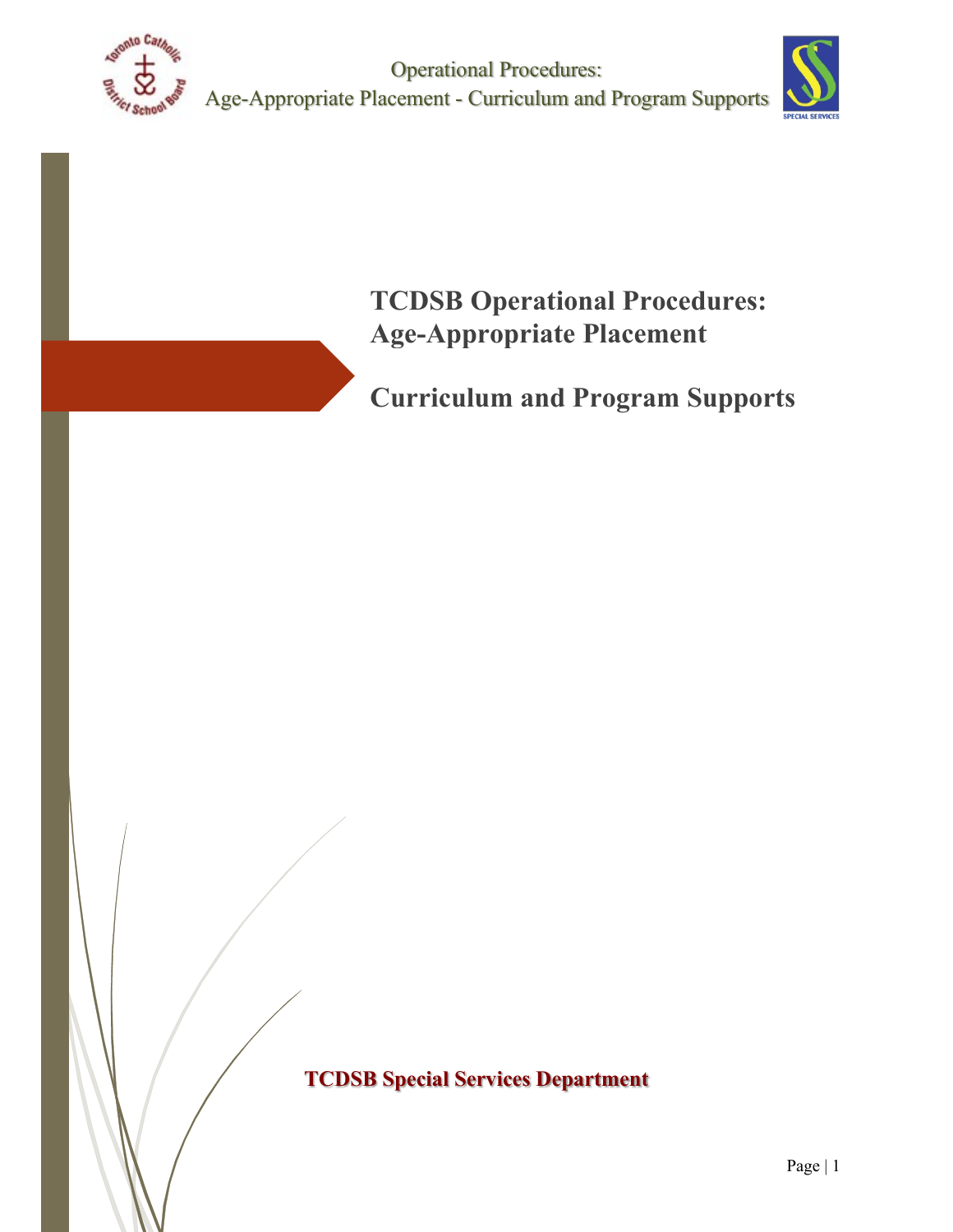

Operational Procedures: Age-Appropriate Placement - Curriculum and Program Supports



**TCDSB Operational Procedures: Age-Appropriate Placement** 

**Curriculum and Program Supports**

**TCDSB Special Services Department**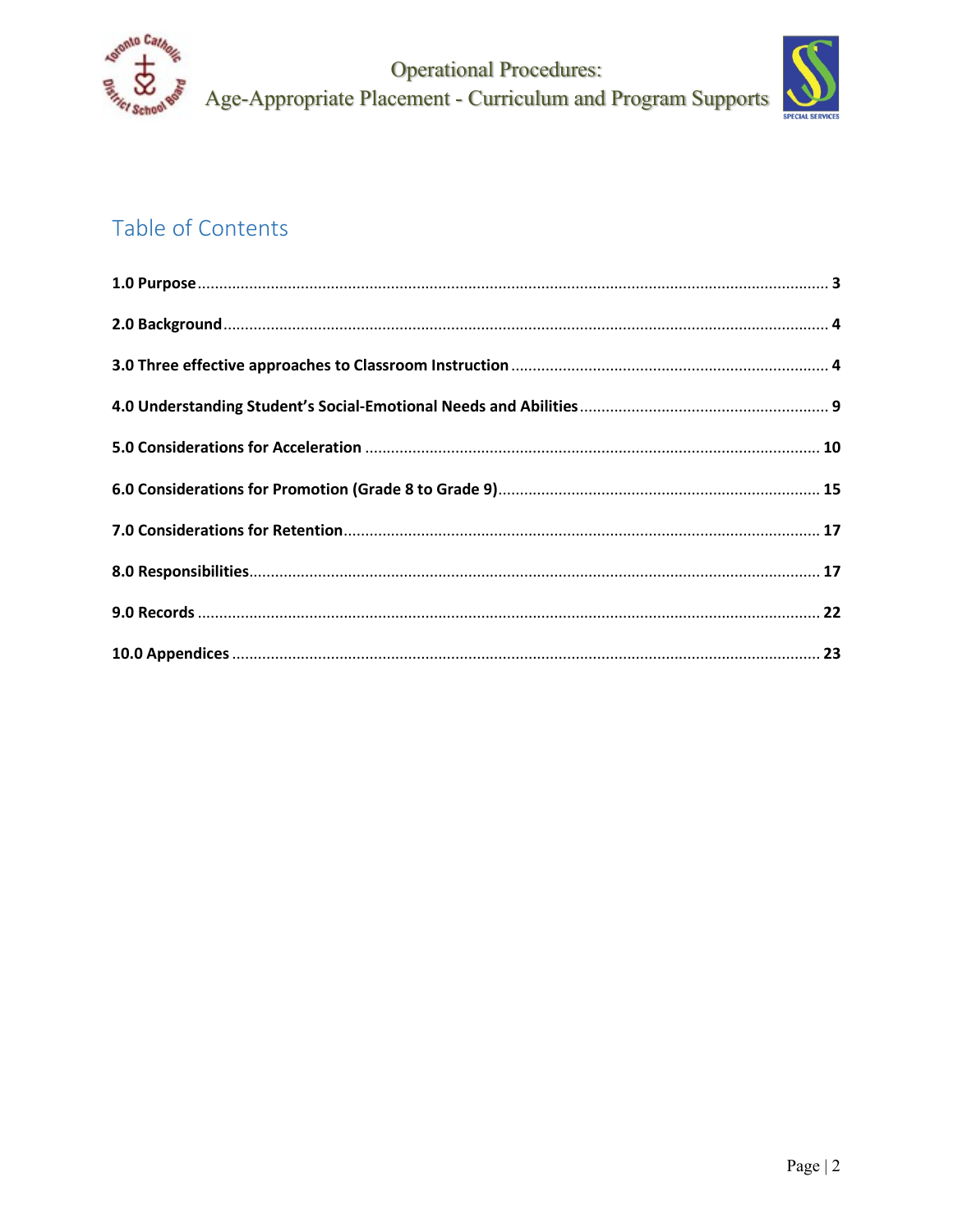

**Operational Procedures:** Age-Appropriate Placement - Curriculum and Program Supports



# Table of Contents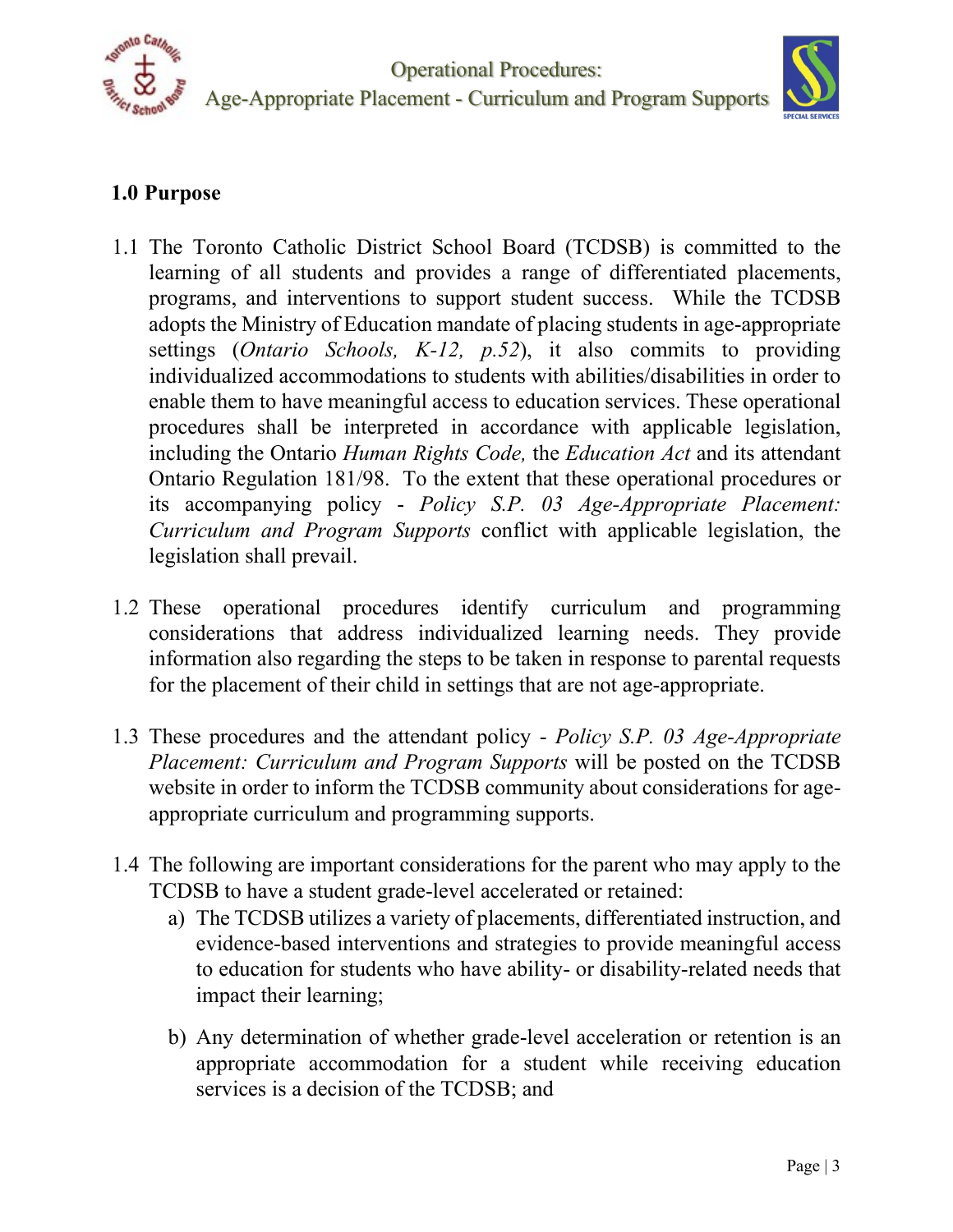



## **1.0 Purpose**

- 1.1 The Toronto Catholic District School Board (TCDSB) is committed to the learning of all students and provides a range of differentiated placements, programs, and interventions to support student success. While the TCDSB adopts the Ministry of Education mandate of placing students in age-appropriate settings (*Ontario Schools, K-12, p.52*), it also commits to providing individualized accommodations to students with abilities/disabilities in order to enable them to have meaningful access to education services. These operational procedures shall be interpreted in accordance with applicable legislation, including the Ontario *Human Rights Code,* the *Education Act* and its attendant Ontario Regulation 181/98. To the extent that these operational procedures or its accompanying policy - *Policy S.P. 03 Age-Appropriate Placement: Curriculum and Program Supports* conflict with applicable legislation, the legislation shall prevail.
- 1.2 These operational procedures identify curriculum and programming considerations that address individualized learning needs. They provide information also regarding the steps to be taken in response to parental requests for the placement of their child in settings that are not age-appropriate.
- 1.3 These procedures and the attendant policy *Policy S.P. 03 Age-Appropriate Placement: Curriculum and Program Supports* will be posted on the TCDSB website in order to inform the TCDSB community about considerations for ageappropriate curriculum and programming supports.
- 1.4 The following are important considerations for the parent who may apply to the TCDSB to have a student grade-level accelerated or retained:
	- a) The TCDSB utilizes a variety of placements, differentiated instruction, and evidence-based interventions and strategies to provide meaningful access to education for students who have ability- or disability-related needs that impact their learning;
	- b) Any determination of whether grade-level acceleration or retention is an appropriate accommodation for a student while receiving education services is a decision of the TCDSB; and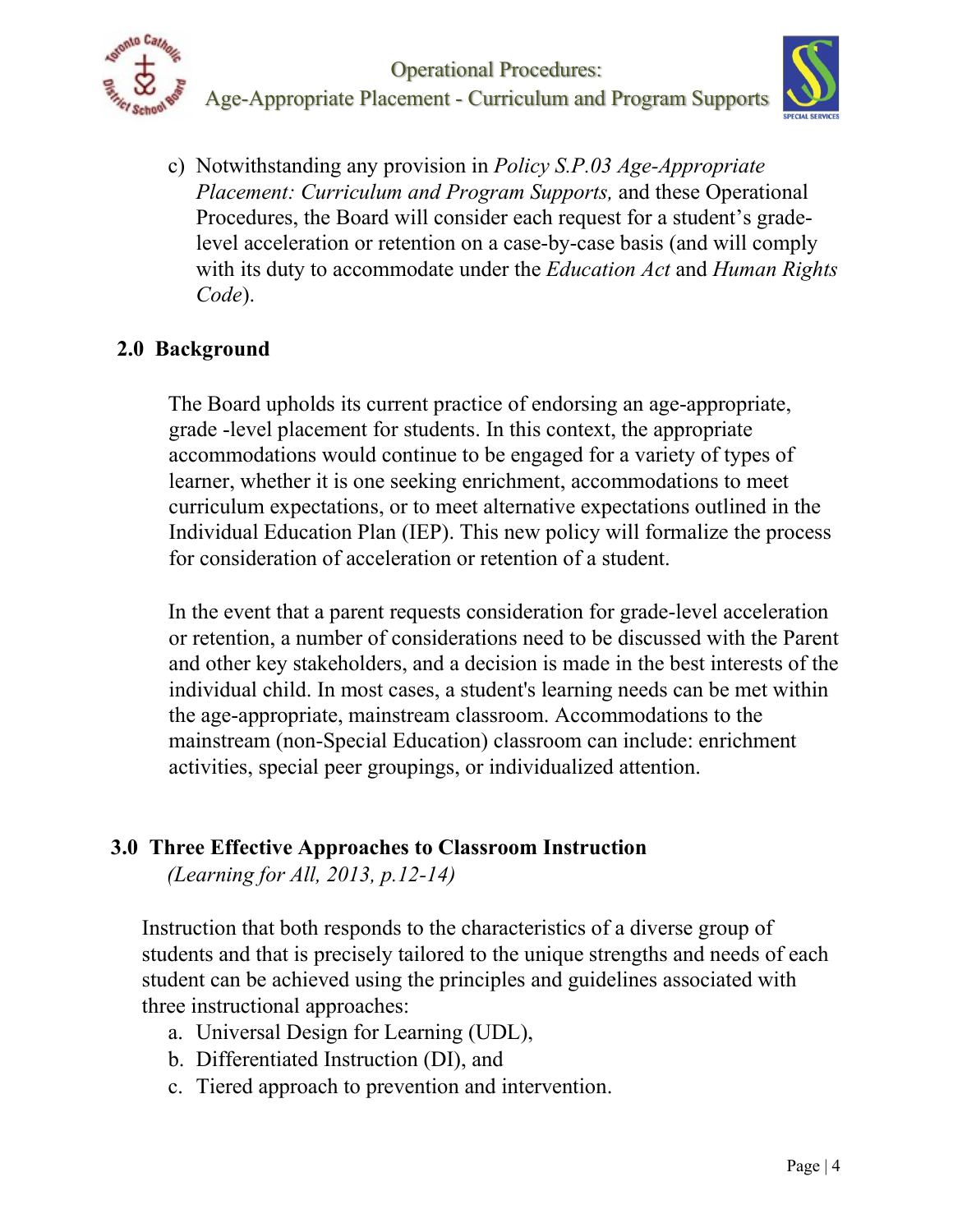



c) Notwithstanding any provision in *Policy S.P.03 Age-Appropriate Placement: Curriculum and Program Supports,* and these Operational Procedures, the Board will consider each request for a student's gradelevel acceleration or retention on a case-by-case basis (and will comply with its duty to accommodate under the *Education Act* and *Human Rights Code*).

## **2.0 Background**

The Board upholds its current practice of endorsing an age-appropriate, grade -level placement for students. In this context, the appropriate accommodations would continue to be engaged for a variety of types of learner, whether it is one seeking enrichment, accommodations to meet curriculum expectations, or to meet alternative expectations outlined in the Individual Education Plan (IEP). This new policy will formalize the process for consideration of acceleration or retention of a student.

In the event that a parent requests consideration for grade-level acceleration or retention, a number of considerations need to be discussed with the Parent and other key stakeholders, and a decision is made in the best interests of the individual child. In most cases, a student's learning needs can be met within the age-appropriate, mainstream classroom. Accommodations to the mainstream (non-Special Education) classroom can include: enrichment activities, special peer groupings, or individualized attention.

## **3.0 Three Effective Approaches to Classroom Instruction**

*(Learning for All, 2013, p.12-14)* 

Instruction that both responds to the characteristics of a diverse group of students and that is precisely tailored to the unique strengths and needs of each student can be achieved using the principles and guidelines associated with three instructional approaches:

- a. Universal Design for Learning (UDL),
- b. Differentiated Instruction (DI), and
- c. Tiered approach to prevention and intervention.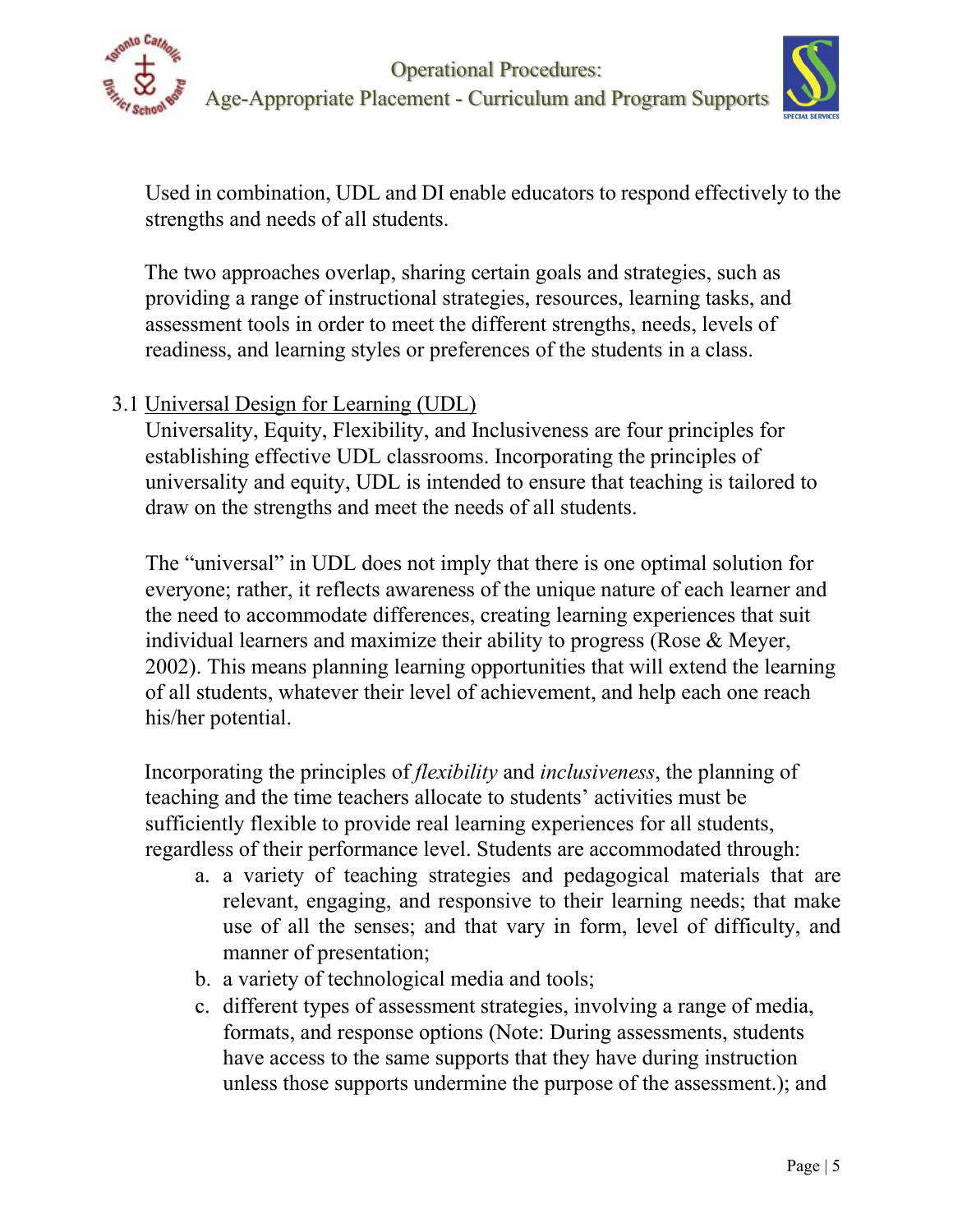



Used in combination, UDL and DI enable educators to respond effectively to the strengths and needs of all students.

The two approaches overlap, sharing certain goals and strategies, such as providing a range of instructional strategies, resources, learning tasks, and assessment tools in order to meet the different strengths, needs, levels of readiness, and learning styles or preferences of the students in a class.

# 3.1 Universal Design for Learning (UDL)

Universality, Equity, Flexibility, and Inclusiveness are four principles for establishing effective UDL classrooms. Incorporating the principles of universality and equity, UDL is intended to ensure that teaching is tailored to draw on the strengths and meet the needs of all students.

The "universal" in UDL does not imply that there is one optimal solution for everyone; rather, it reflects awareness of the unique nature of each learner and the need to accommodate differences, creating learning experiences that suit individual learners and maximize their ability to progress (Rose & Meyer, 2002). This means planning learning opportunities that will extend the learning of all students, whatever their level of achievement, and help each one reach his/her potential.

Incorporating the principles of *flexibility* and *inclusiveness*, the planning of teaching and the time teachers allocate to students' activities must be sufficiently flexible to provide real learning experiences for all students, regardless of their performance level. Students are accommodated through:

- a. a variety of teaching strategies and pedagogical materials that are relevant, engaging, and responsive to their learning needs; that make use of all the senses; and that vary in form, level of difficulty, and manner of presentation;
- b. a variety of technological media and tools;
- c. different types of assessment strategies, involving a range of media, formats, and response options (Note: During assessments, students have access to the same supports that they have during instruction unless those supports undermine the purpose of the assessment.); and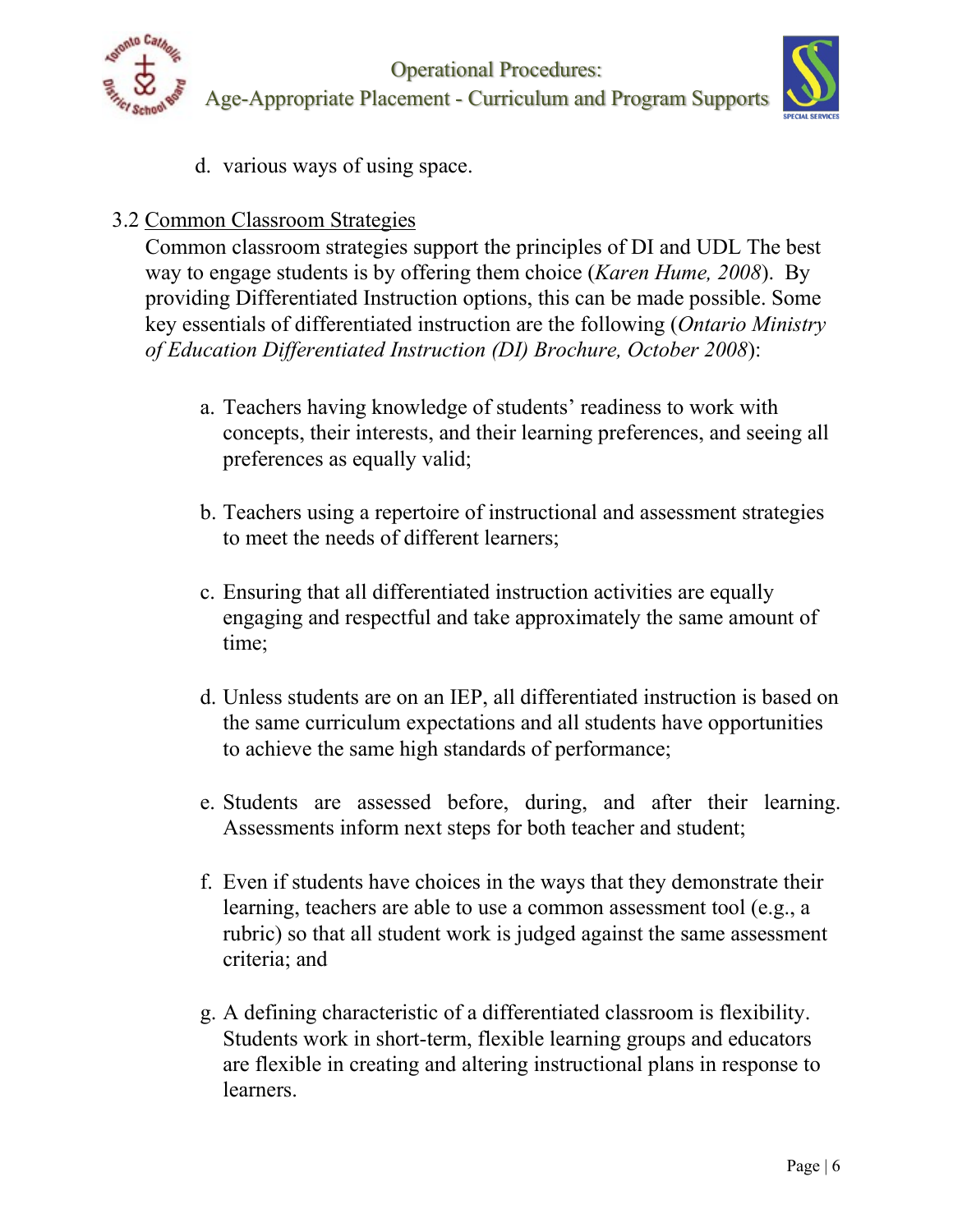



d. various ways of using space.

## 3.2 Common Classroom Strategies

Common classroom strategies support the principles of DI and UDL The best way to engage students is by offering them choice (*Karen Hume, 2008*). By providing Differentiated Instruction options, this can be made possible. Some key essentials of differentiated instruction are the following (*Ontario Ministry of Education Differentiated Instruction (DI) Brochure, October 2008*):

- a. Teachers having knowledge of students' readiness to work with concepts, their interests, and their learning preferences, and seeing all preferences as equally valid;
- b. Teachers using a repertoire of instructional and assessment strategies to meet the needs of different learners;
- c. Ensuring that all differentiated instruction activities are equally engaging and respectful and take approximately the same amount of time;
- d. Unless students are on an IEP, all differentiated instruction is based on the same curriculum expectations and all students have opportunities to achieve the same high standards of performance;
- e. Students are assessed before, during, and after their learning. Assessments inform next steps for both teacher and student;
- f. Even if students have choices in the ways that they demonstrate their learning, teachers are able to use a common assessment tool (e.g., a rubric) so that all student work is judged against the same assessment criteria; and
- g. A defining characteristic of a differentiated classroom is flexibility. Students work in short-term, flexible learning groups and educators are flexible in creating and altering instructional plans in response to learners.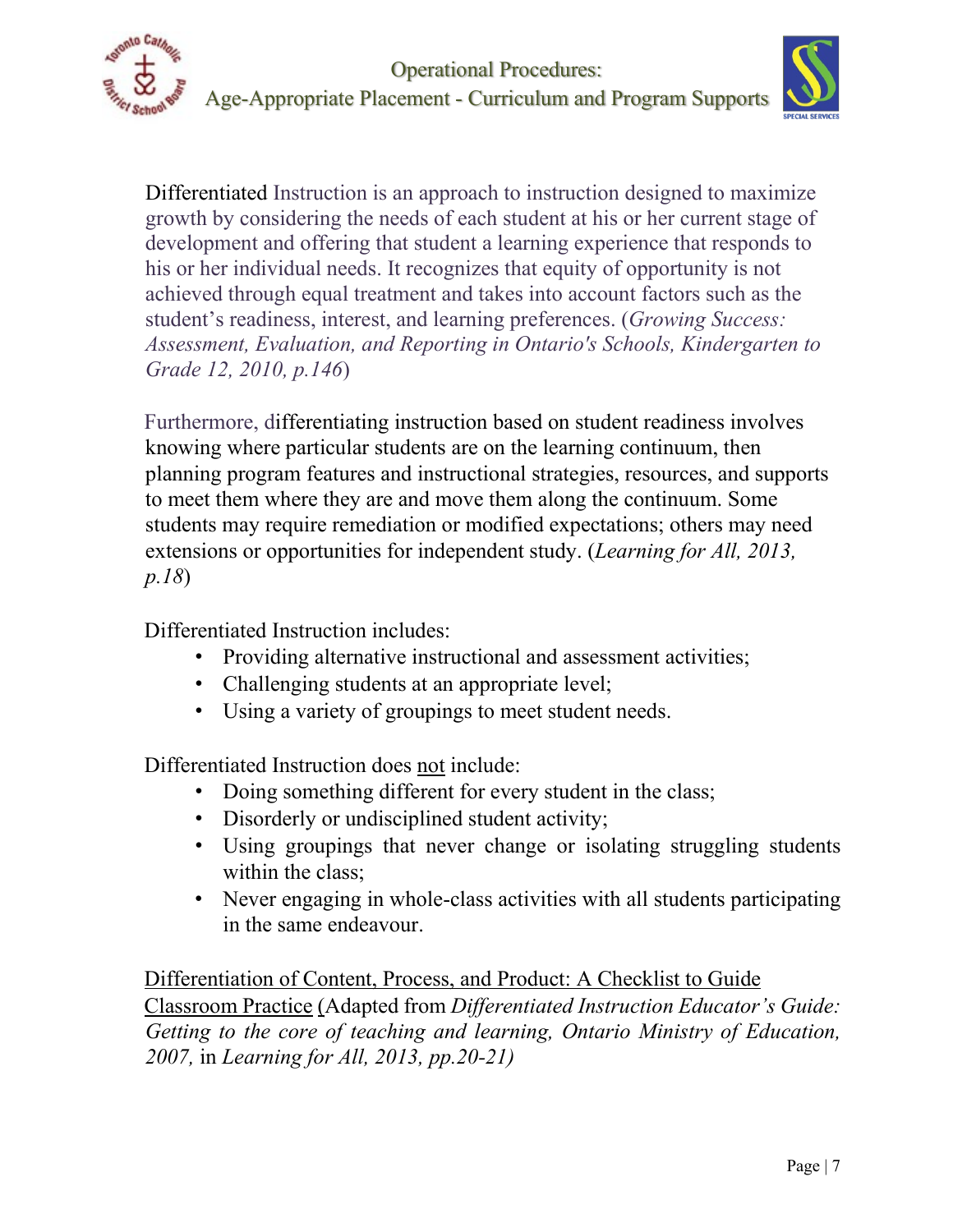



Differentiated Instruction is an approach to instruction designed to maximize growth by considering the needs of each student at his or her current stage of development and offering that student a learning experience that responds to his or her individual needs. It recognizes that equity of opportunity is not achieved through equal treatment and takes into account factors such as the student's readiness, interest, and learning preferences. (*Growing Success: Assessment, Evaluation, and Reporting in Ontario's Schools, Kindergarten to Grade 12, 2010, p.146*)

Furthermore, differentiating instruction based on student readiness involves knowing where particular students are on the learning continuum, then planning program features and instructional strategies, resources, and supports to meet them where they are and move them along the continuum. Some students may require remediation or modified expectations; others may need extensions or opportunities for independent study. (*Learning for All, 2013, p.18*)

Differentiated Instruction includes:

- Providing alternative instructional and assessment activities;
- Challenging students at an appropriate level;
- Using a variety of groupings to meet student needs.

Differentiated Instruction does not include:

- Doing something different for every student in the class;
- Disorderly or undisciplined student activity;
- Using groupings that never change or isolating struggling students within the class;
- Never engaging in whole-class activities with all students participating in the same endeavour.

Differentiation of Content, Process, and Product: A Checklist to Guide Classroom Practice (Adapted from *Differentiated Instruction Educator's Guide: Getting to the core of teaching and learning, Ontario Ministry of Education, 2007,* in *Learning for All, 2013, pp.20-21)*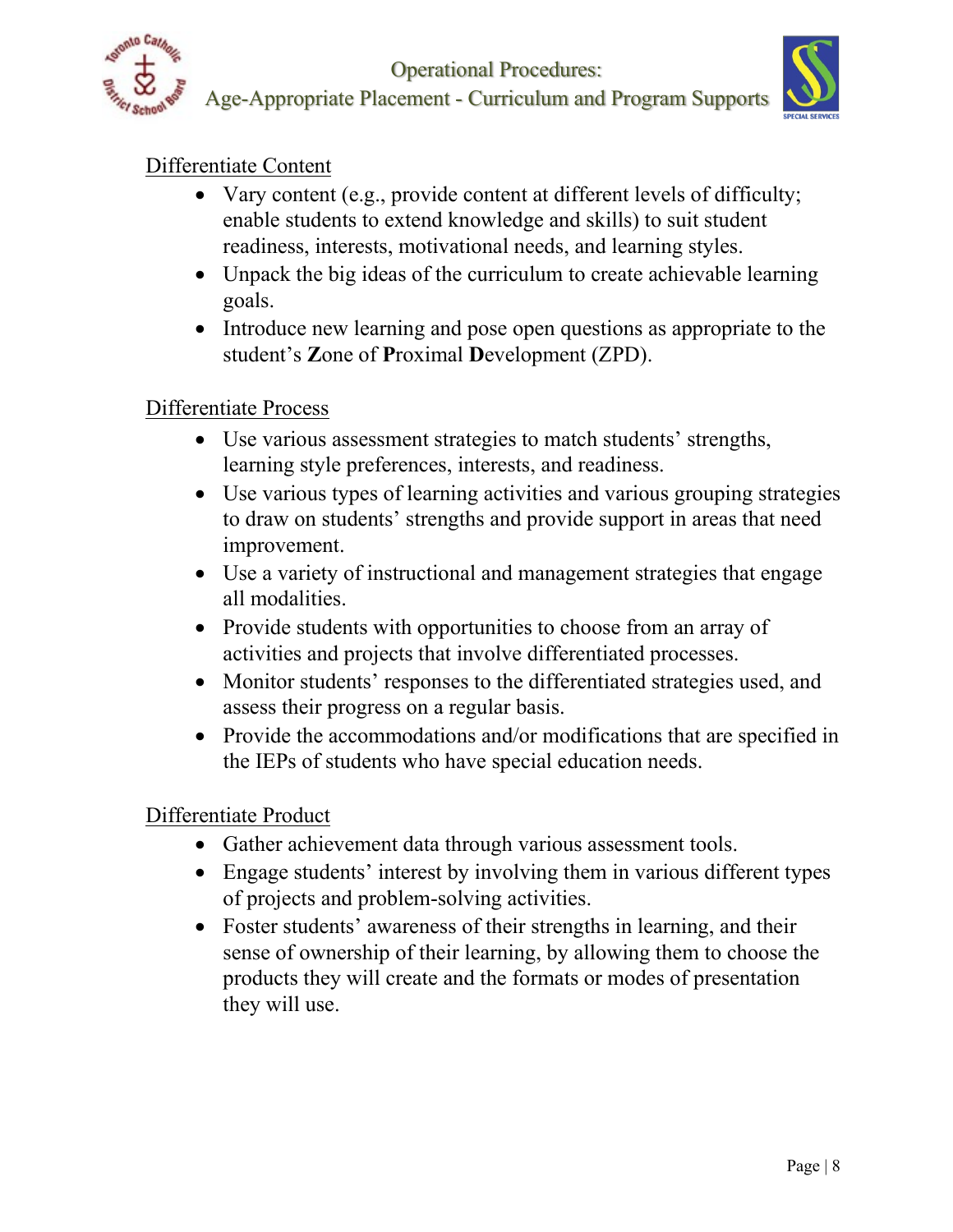

Operational Procedures:

Age-Appropriate Placement - Curriculum and Program Supports



# Differentiate Content

- Vary content (e.g., provide content at different levels of difficulty; enable students to extend knowledge and skills) to suit student readiness, interests, motivational needs, and learning styles.
- Unpack the big ideas of the curriculum to create achievable learning goals.
- Introduce new learning and pose open questions as appropriate to the student's **Z**one of **P**roximal **D**evelopment (ZPD).

# Differentiate Process

- Use various assessment strategies to match students' strengths, learning style preferences, interests, and readiness.
- Use various types of learning activities and various grouping strategies to draw on students' strengths and provide support in areas that need improvement.
- Use a variety of instructional and management strategies that engage all modalities.
- Provide students with opportunities to choose from an array of activities and projects that involve differentiated processes.
- Monitor students' responses to the differentiated strategies used, and assess their progress on a regular basis.
- Provide the accommodations and/or modifications that are specified in the IEPs of students who have special education needs.

## Differentiate Product

- Gather achievement data through various assessment tools.
- Engage students' interest by involving them in various different types of projects and problem-solving activities.
- Foster students' awareness of their strengths in learning, and their sense of ownership of their learning, by allowing them to choose the products they will create and the formats or modes of presentation they will use.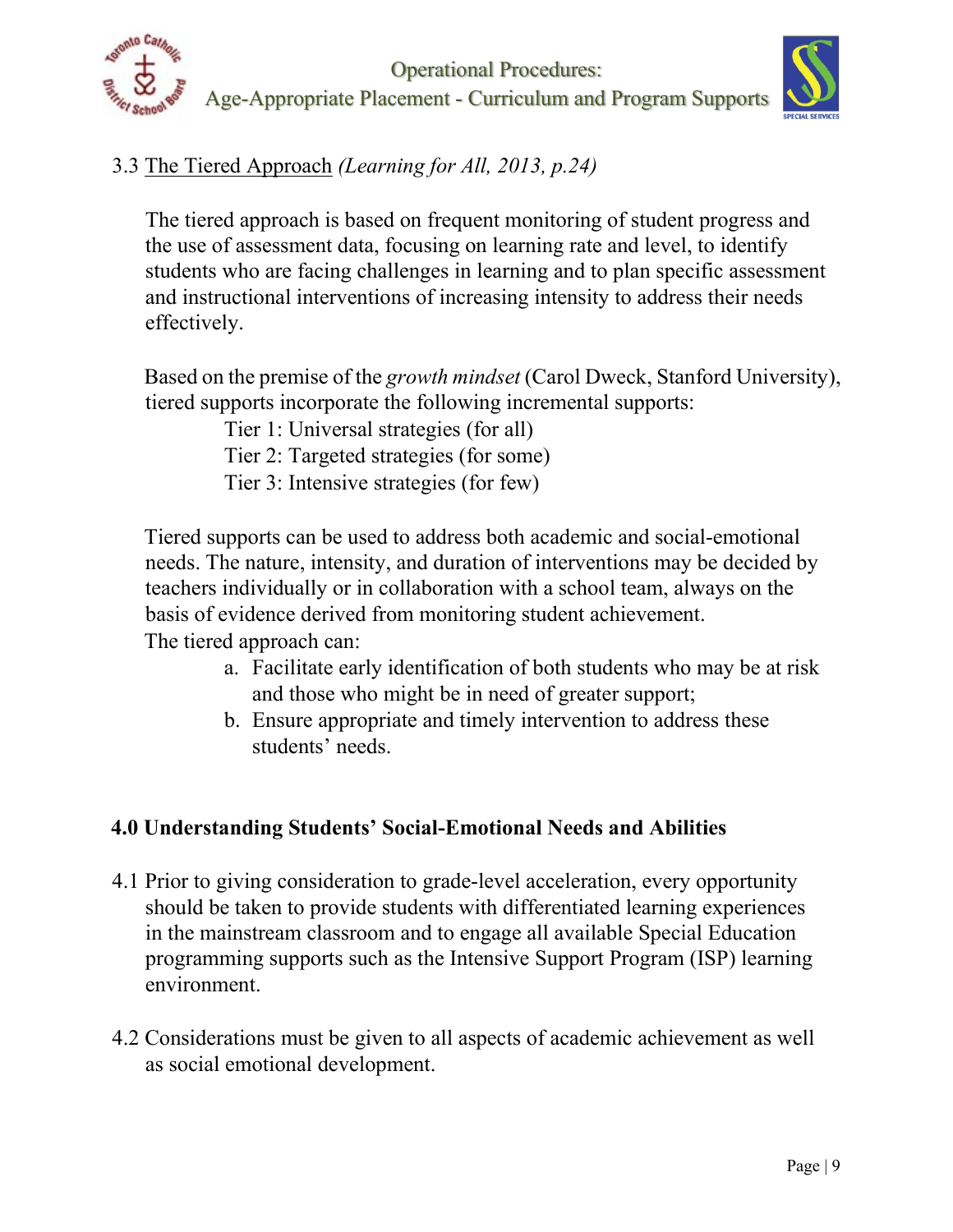



# 3.3 The Tiered Approach *(Learning for All, 2013, p.24)*

The tiered approach is based on frequent monitoring of student progress and the use of assessment data, focusing on learning rate and level, to identify students who are facing challenges in learning and to plan specific assessment and instructional interventions of increasing intensity to address their needs effectively.

Based on the premise of the *growth mindset* (Carol Dweck, Stanford University), tiered supports incorporate the following incremental supports:

Tier 1: Universal strategies (for all)

Tier 2: Targeted strategies (for some)

Tier 3: Intensive strategies (for few)

Tiered supports can be used to address both academic and social-emotional needs. The nature, intensity, and duration of interventions may be decided by teachers individually or in collaboration with a school team, always on the basis of evidence derived from monitoring student achievement. The tiered approach can:

- a. Facilitate early identification of both students who may be at risk and those who might be in need of greater support;
- b. Ensure appropriate and timely intervention to address these students' needs.

# **4.0 Understanding Students' Social-Emotional Needs and Abilities**

- 4.1 Prior to giving consideration to grade-level acceleration, every opportunity should be taken to provide students with differentiated learning experiences in the mainstream classroom and to engage all available Special Education programming supports such as the Intensive Support Program (ISP) learning environment.
- 4.2 Considerations must be given to all aspects of academic achievement as well as social emotional development.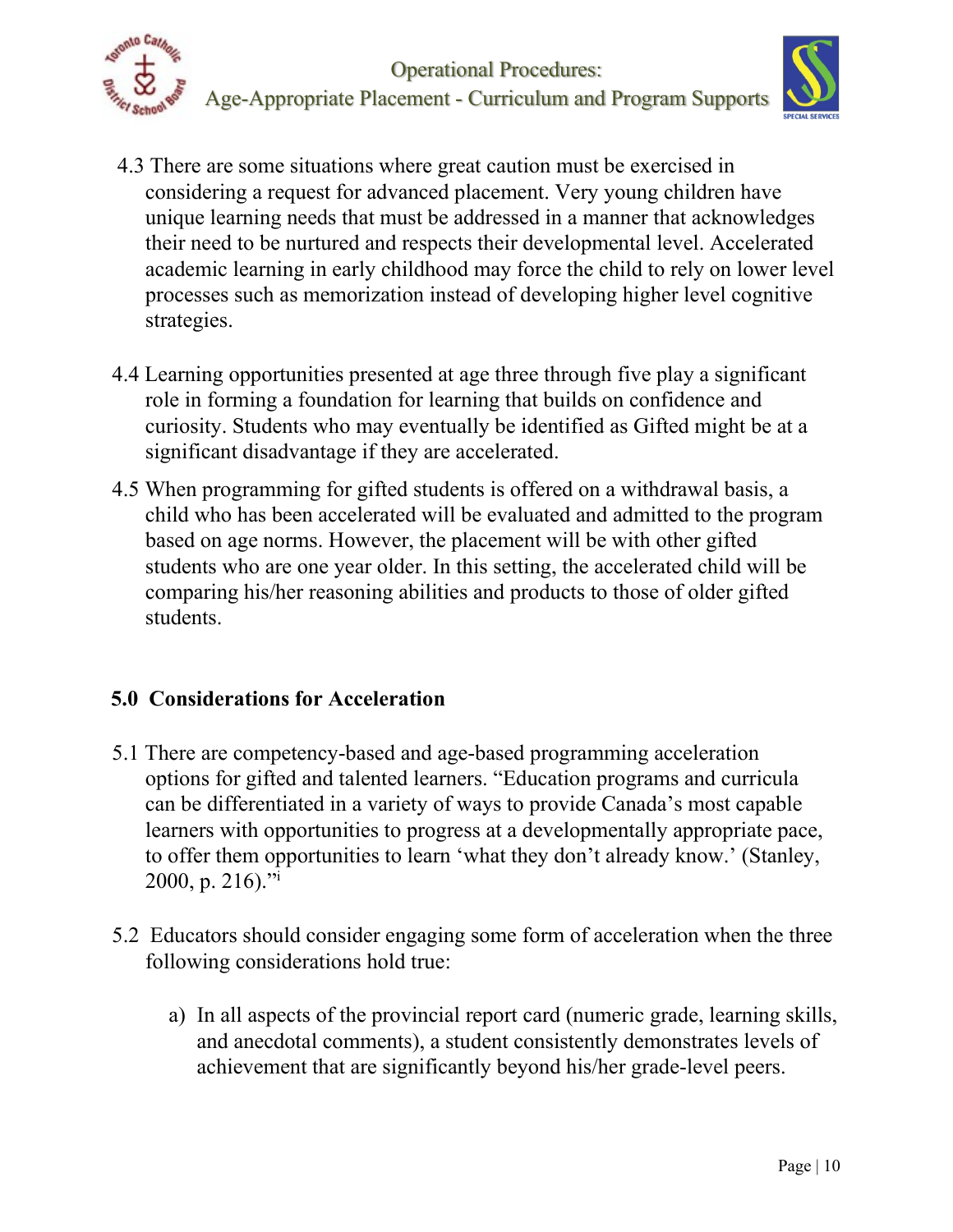



- 4.3 There are some situations where great caution must be exercised in considering a request for advanced placement. Very young children have unique learning needs that must be addressed in a manner that acknowledges their need to be nurtured and respects their developmental level. Accelerated academic learning in early childhood may force the child to rely on lower level processes such as memorization instead of developing higher level cognitive strategies.
- 4.4 Learning opportunities presented at age three through five play a significant role in forming a foundation for learning that builds on confidence and curiosity. Students who may eventually be identified as Gifted might be at a significant disadvantage if they are accelerated.
- 4.5 When programming for gifted students is offered on a withdrawal basis, a child who has been accelerated will be evaluated and admitted to the program based on age norms. However, the placement will be with other gifted students who are one year older. In this setting, the accelerated child will be comparing his/her reasoning abilities and products to those of older gifted students.

# **5.0 Considerations for Acceleration**

- 5.1 There are competency-based and age-based programming acceleration options for gifted and talented learners. "Education programs and curricula can be differentiated in a variety of ways to provide Canada's most capable learners with opportunities to progress at a developmentally appropriate pace, to offer them opportunities to learn 'what they don't already know.' (Stanley, 2000, p. 216)."
- 5.2 Educators should consider engaging some form of acceleration when the three following considerations hold true:
	- a) In all aspects of the provincial report card (numeric grade, learning skills, and anecdotal comments), a student consistently demonstrates levels of achievement that are significantly beyond his/her grade-level peers.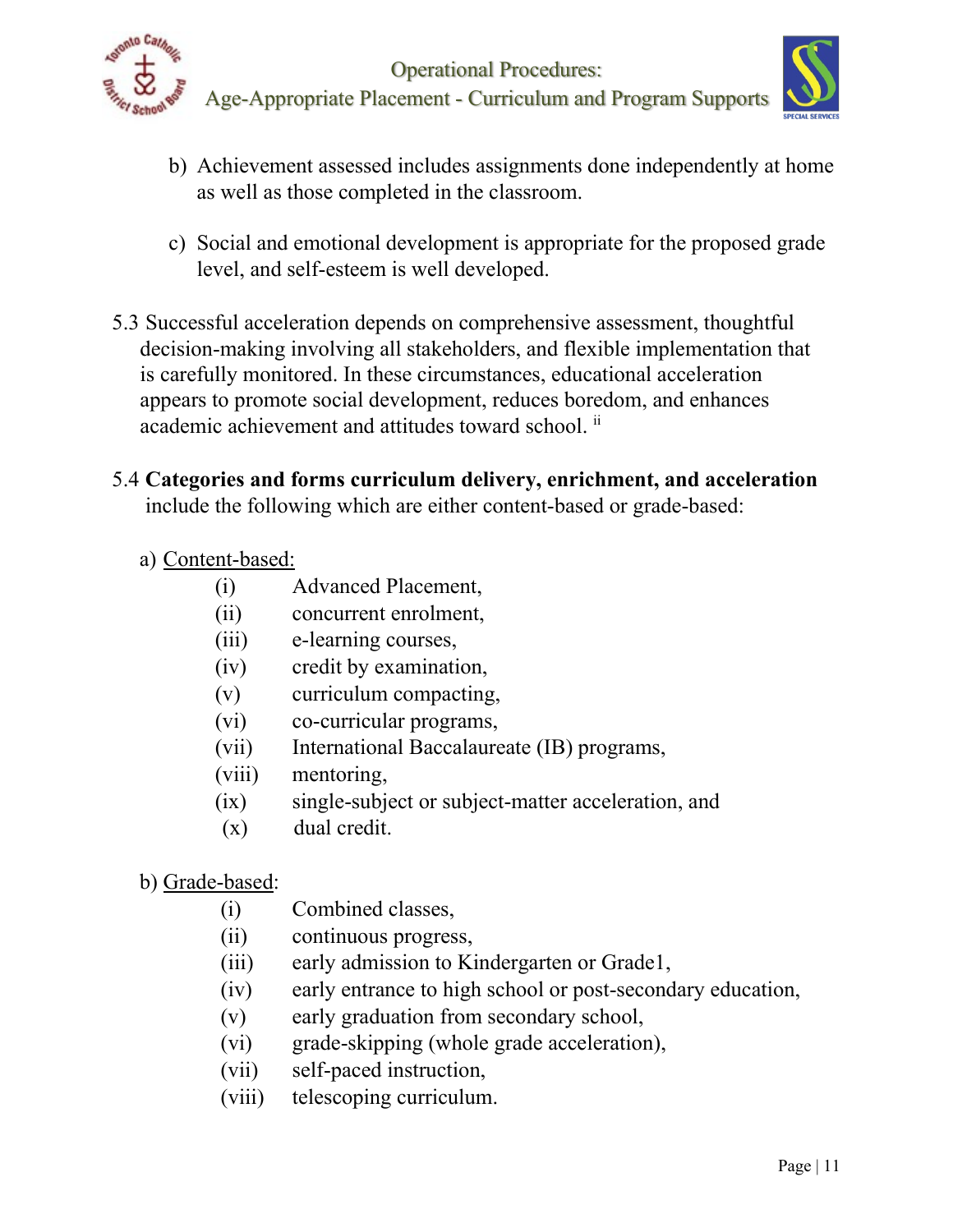



- b) Achievement assessed includes assignments done independently at home as well as those completed in the classroom.
- c) Social and emotional development is appropriate for the proposed grade level, and self-esteem is well developed.
- 5.3 Successful acceleration depends on comprehensive assessment, thoughtful decision-making involving all stakeholders, and flexible implementation that is carefully monitored. In these circumstances, educational acceleration appears to promote social development, reduces boredom, and enhances academic achievement and attitudes toward school.  $\mathbf{u}$
- 5.4 **Categories and forms curriculum delivery, enrichment, and acceleration** include the following which are either content-based or grade-based:

## a) Content-based:

- (i) Advanced Placement,
- (ii) concurrent enrolment,
- (iii) e-learning courses,
- (iv) credit by examination,
- (v) curriculum compacting,
- (vi) co-curricular programs,
- (vii) International Baccalaureate (IB) programs,
- (viii) mentoring,
- (ix) single-subject or subject-matter acceleration, and
- (x) dual credit.
- b) Grade-based:
	- (i) Combined classes,
	- (ii) continuous progress,
	- (iii) early admission to Kindergarten or Grade1,
	- (iv) early entrance to high school or post-secondary education,
	- (v) early graduation from secondary school,
	- (vi) grade-skipping (whole grade acceleration),
	- (vii) self-paced instruction,
	- (viii) telescoping curriculum.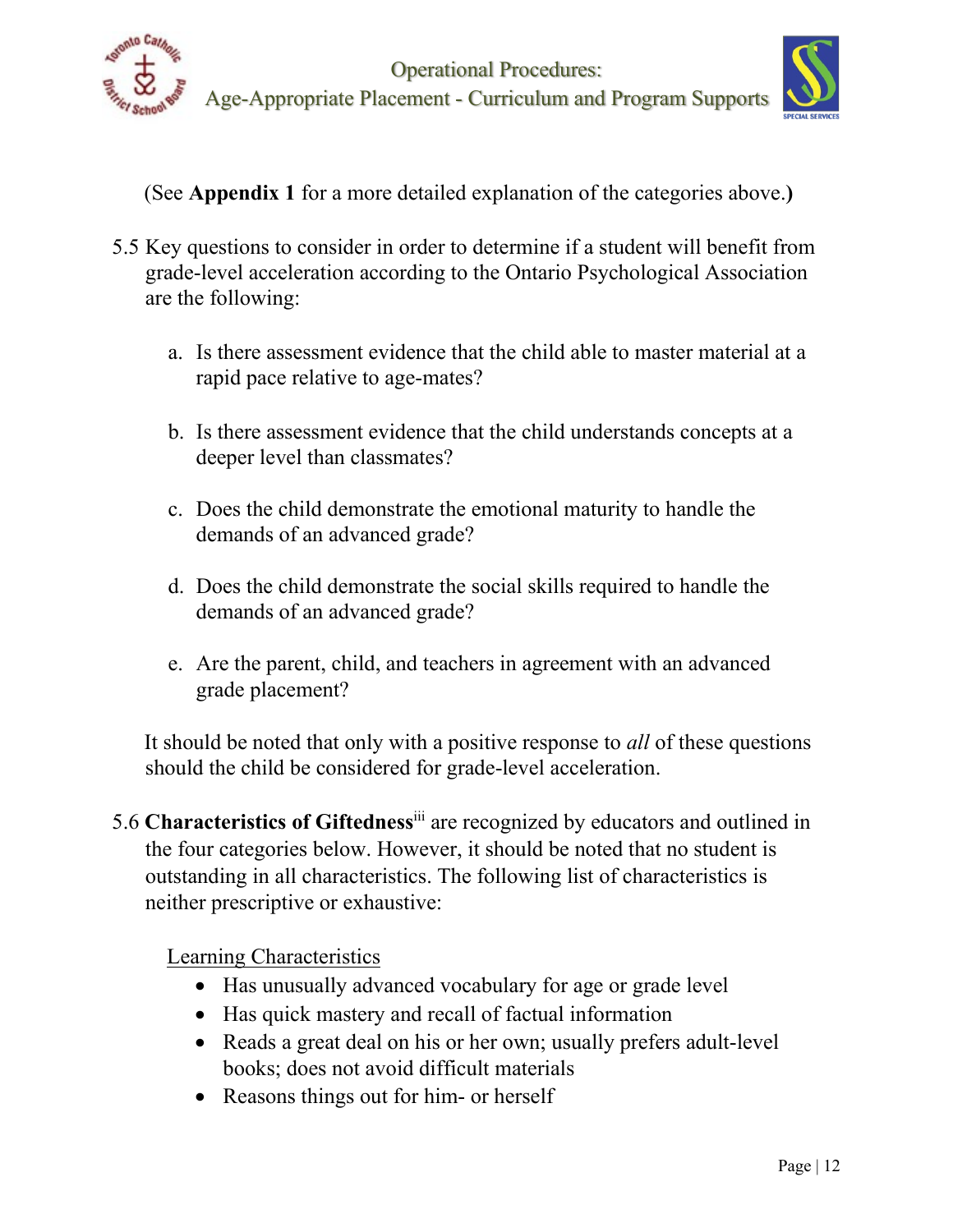



(See **Appendix 1** for a more detailed explanation of the categories above.**)**

- 5.5 Key questions to consider in order to determine if a student will benefit from grade-level acceleration according to the Ontario Psychological Association are the following:
	- a. Is there assessment evidence that the child able to master material at a rapid pace relative to age-mates?
	- b. Is there assessment evidence that the child understands concepts at a deeper level than classmates?
	- c. Does the child demonstrate the emotional maturity to handle the demands of an advanced grade?
	- d. Does the child demonstrate the social skills required to handle the demands of an advanced grade?
	- e. Are the parent, child, and teachers in agreement with an advanced grade placement?

It should be noted that only with a positive response to *all* of these questions should the child be considered for grade-level acceleration.

5.6 **Characteristics of Giftedness**iii are recognized by educators and outlined in the four categories below. However, it should be noted that no student is outstanding in all characteristics. The following list of characteristics is neither prescriptive or exhaustive:

Learning Characteristics

- Has unusually advanced vocabulary for age or grade level
- Has quick mastery and recall of factual information
- Reads a great deal on his or her own; usually prefers adult-level books; does not avoid difficult materials
- Reasons things out for him- or herself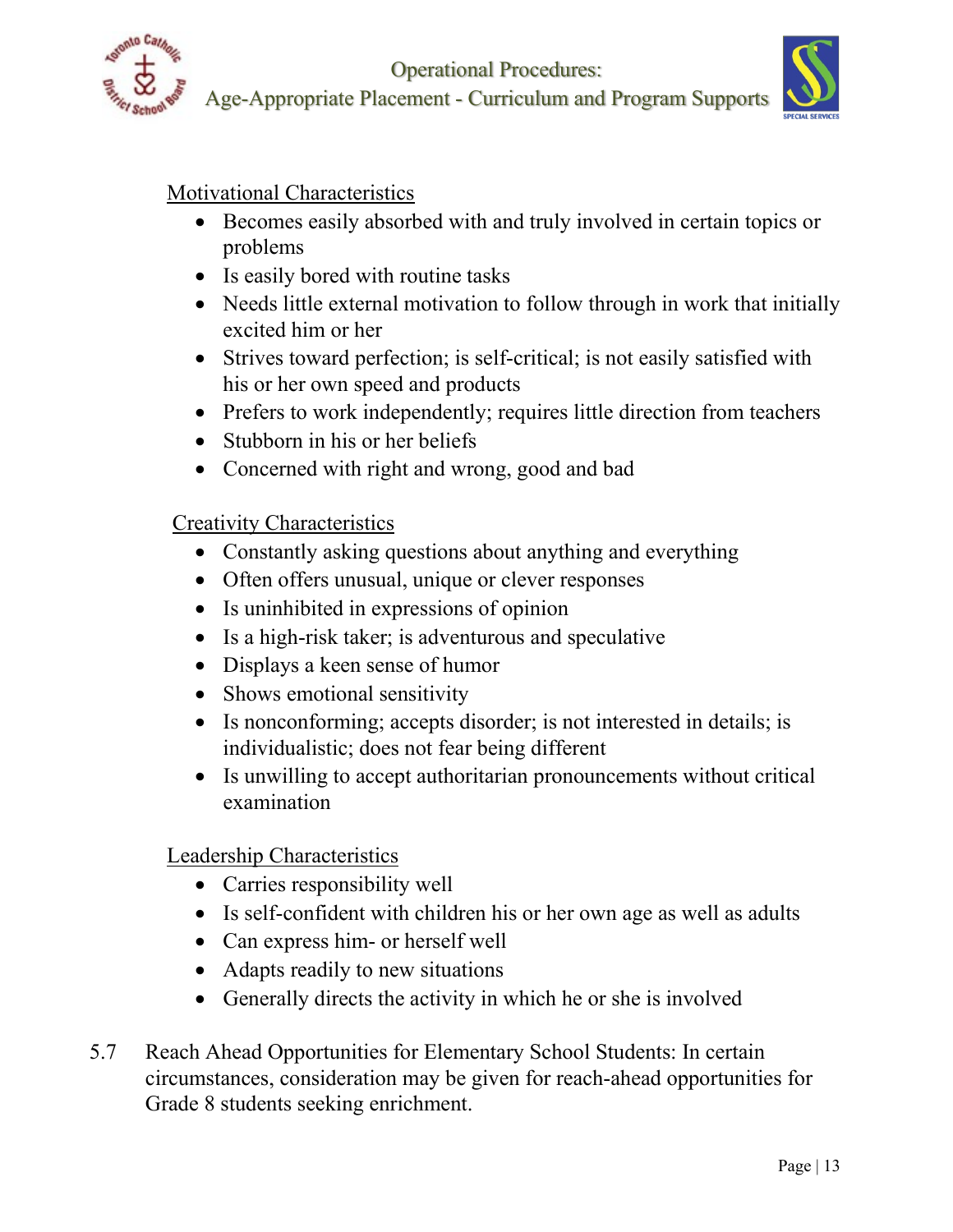

Operational Procedures: Age-Appropriate Placement - Curriculum and Program Supports



Motivational Characteristics

- Becomes easily absorbed with and truly involved in certain topics or problems
- Is easily bored with routine tasks
- Needs little external motivation to follow through in work that initially excited him or her
- Strives toward perfection; is self-critical; is not easily satisfied with his or her own speed and products
- Prefers to work independently; requires little direction from teachers
- Stubborn in his or her beliefs
- Concerned with right and wrong, good and bad

## Creativity Characteristics

- Constantly asking questions about anything and everything
- Often offers unusual, unique or clever responses
- Is uninhibited in expressions of opinion
- Is a high-risk taker; is adventurous and speculative
- Displays a keen sense of humor
- Shows emotional sensitivity
- Is nonconforming; accepts disorder; is not interested in details; is individualistic; does not fear being different
- Is unwilling to accept authoritarian pronouncements without critical examination

Leadership Characteristics

- Carries responsibility well
- Is self-confident with children his or her own age as well as adults
- Can express him- or herself well
- Adapts readily to new situations
- Generally directs the activity in which he or she is involved
- 5.7 Reach Ahead Opportunities for Elementary School Students: In certain circumstances, consideration may be given for reach-ahead opportunities for Grade 8 students seeking enrichment.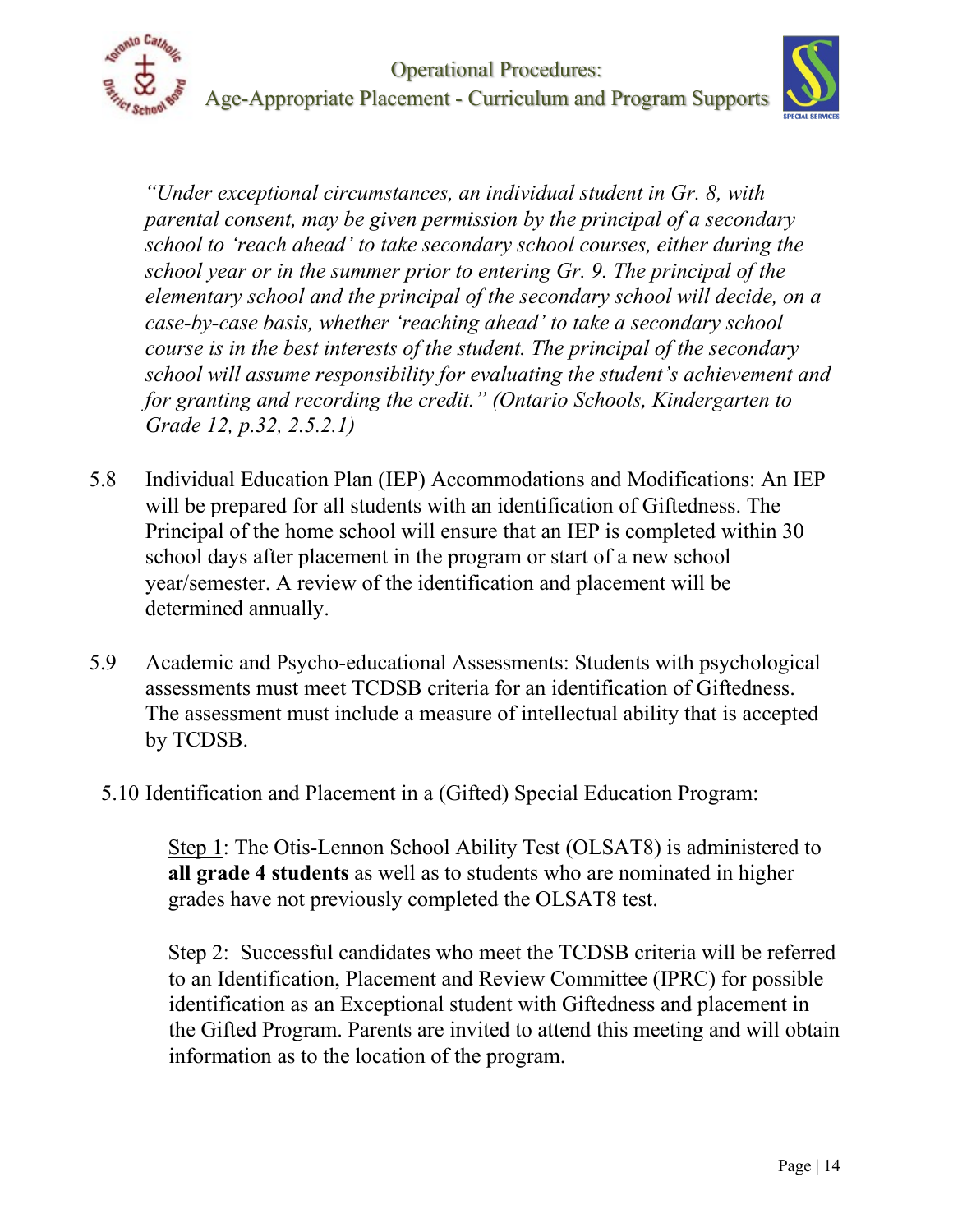

*"Under exceptional circumstances, an individual student in Gr. 8, with parental consent, may be given permission by the principal of a secondary school to 'reach ahead' to take secondary school courses, either during the school year or in the summer prior to entering Gr. 9. The principal of the elementary school and the principal of the secondary school will decide, on a case-by-case basis, whether 'reaching ahead' to take a secondary school course is in the best interests of the student. The principal of the secondary school will assume responsibility for evaluating the student's achievement and for granting and recording the credit." (Ontario Schools, Kindergarten to Grade 12, p.32, 2.5.2.1)* 

- 5.8 Individual Education Plan (IEP) Accommodations and Modifications: An IEP will be prepared for all students with an identification of Giftedness. The Principal of the home school will ensure that an IEP is completed within 30 school days after placement in the program or start of a new school year/semester. A review of the identification and placement will be determined annually.
- 5.9 Academic and Psycho-educational Assessments: Students with psychological assessments must meet TCDSB criteria for an identification of Giftedness. The assessment must include a measure of intellectual ability that is accepted by TCDSB.
- 5.10 Identification and Placement in a (Gifted) Special Education Program:

Step 1: The Otis-Lennon School Ability Test (OLSAT8) is administered to **all grade 4 students** as well as to students who are nominated in higher grades have not previously completed the OLSAT8 test.

Step 2: Successful candidates who meet the TCDSB criteria will be referred to an Identification, Placement and Review Committee (IPRC) for possible identification as an Exceptional student with Giftedness and placement in the Gifted Program. Parents are invited to attend this meeting and will obtain information as to the location of the program.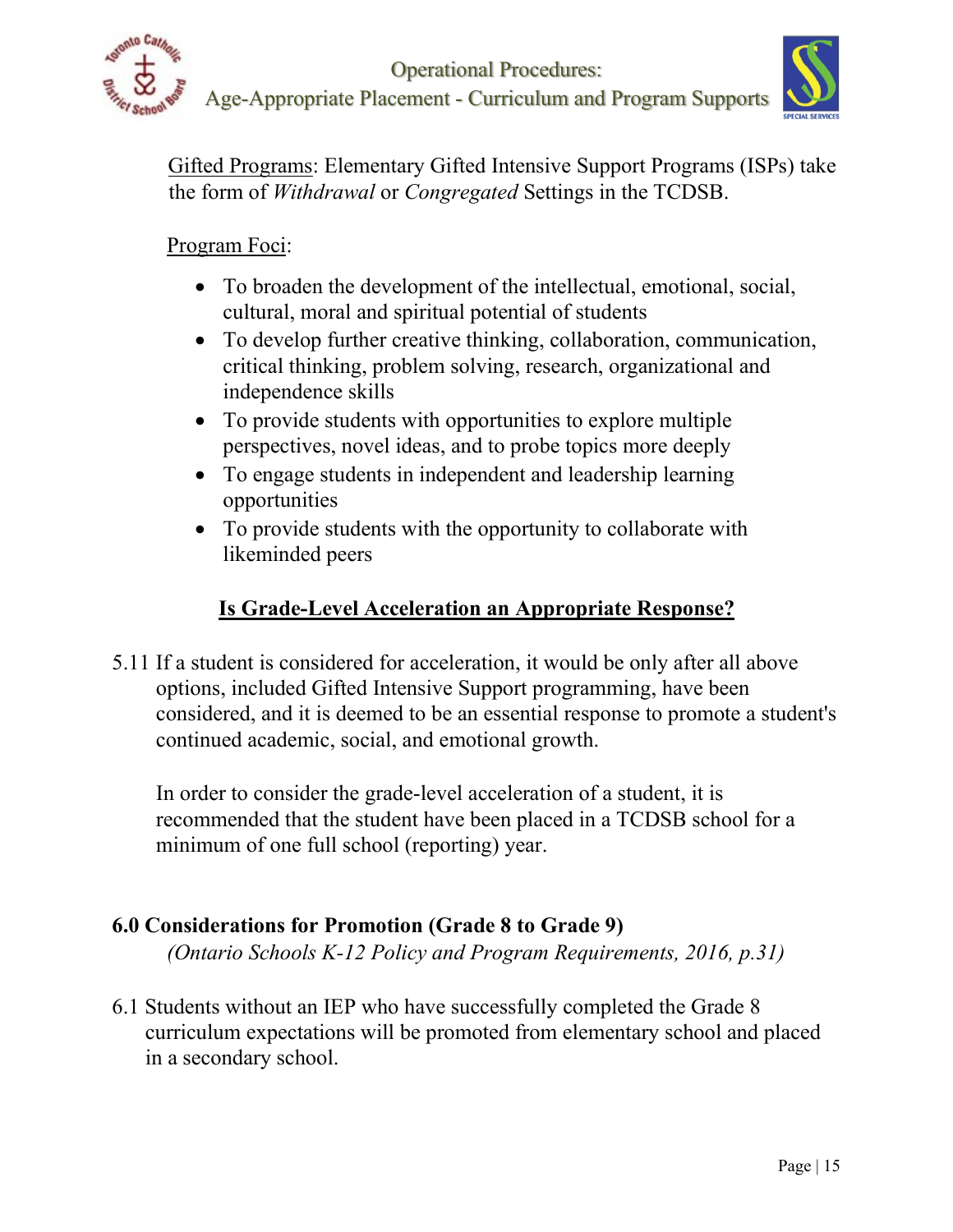



Gifted Programs: Elementary Gifted Intensive Support Programs (ISPs) take the form of *Withdrawal* or *Congregated* Settings in the TCDSB.

## Program Foci:

- To broaden the development of the intellectual, emotional, social, cultural, moral and spiritual potential of students
- To develop further creative thinking, collaboration, communication, critical thinking, problem solving, research, organizational and independence skills
- To provide students with opportunities to explore multiple perspectives, novel ideas, and to probe topics more deeply
- To engage students in independent and leadership learning opportunities
- To provide students with the opportunity to collaborate with likeminded peers

# **Is Grade-Level Acceleration an Appropriate Response?**

5.11 If a student is considered for acceleration, it would be only after all above options, included Gifted Intensive Support programming, have been considered, and it is deemed to be an essential response to promote a student's continued academic, social, and emotional growth.

In order to consider the grade-level acceleration of a student, it is recommended that the student have been placed in a TCDSB school for a minimum of one full school (reporting) year.

# **6.0 Considerations for Promotion (Grade 8 to Grade 9)**

*(Ontario Schools K-12 Policy and Program Requirements, 2016, p.31)* 

6.1 Students without an IEP who have successfully completed the Grade 8 curriculum expectations will be promoted from elementary school and placed in a secondary school.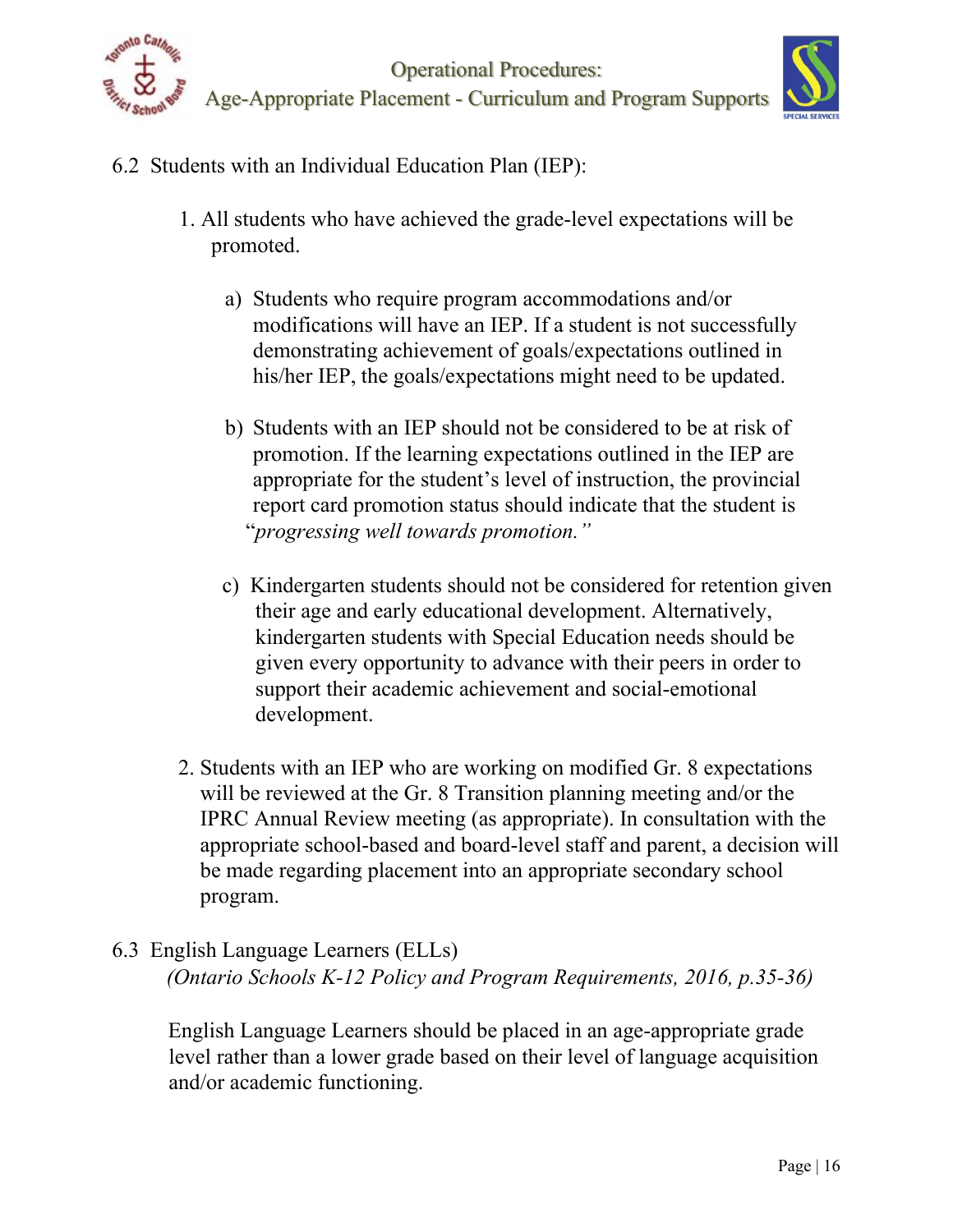



- 6.2 Students with an Individual Education Plan (IEP):
	- 1. All students who have achieved the grade-level expectations will be promoted.
		- a) Students who require program accommodations and/or modifications will have an IEP. If a student is not successfully demonstrating achievement of goals/expectations outlined in his/her IEP, the goals/expectations might need to be updated.
		- b) Students with an IEP should not be considered to be at risk of promotion. If the learning expectations outlined in the IEP are appropriate for the student's level of instruction, the provincial report card promotion status should indicate that the student is "*progressing well towards promotion."*
		- c) Kindergarten students should not be considered for retention given their age and early educational development. Alternatively, kindergarten students with Special Education needs should be given every opportunity to advance with their peers in order to support their academic achievement and social-emotional development.
	- 2. Students with an IEP who are working on modified Gr. 8 expectations will be reviewed at the Gr. 8 Transition planning meeting and/or the IPRC Annual Review meeting (as appropriate). In consultation with the appropriate school-based and board-level staff and parent, a decision will be made regarding placement into an appropriate secondary school program.

# 6.3 English Language Learners (ELLs)  *(Ontario Schools K-12 Policy and Program Requirements, 2016, p.35-36)*

English Language Learners should be placed in an age-appropriate grade level rather than a lower grade based on their level of language acquisition and/or academic functioning.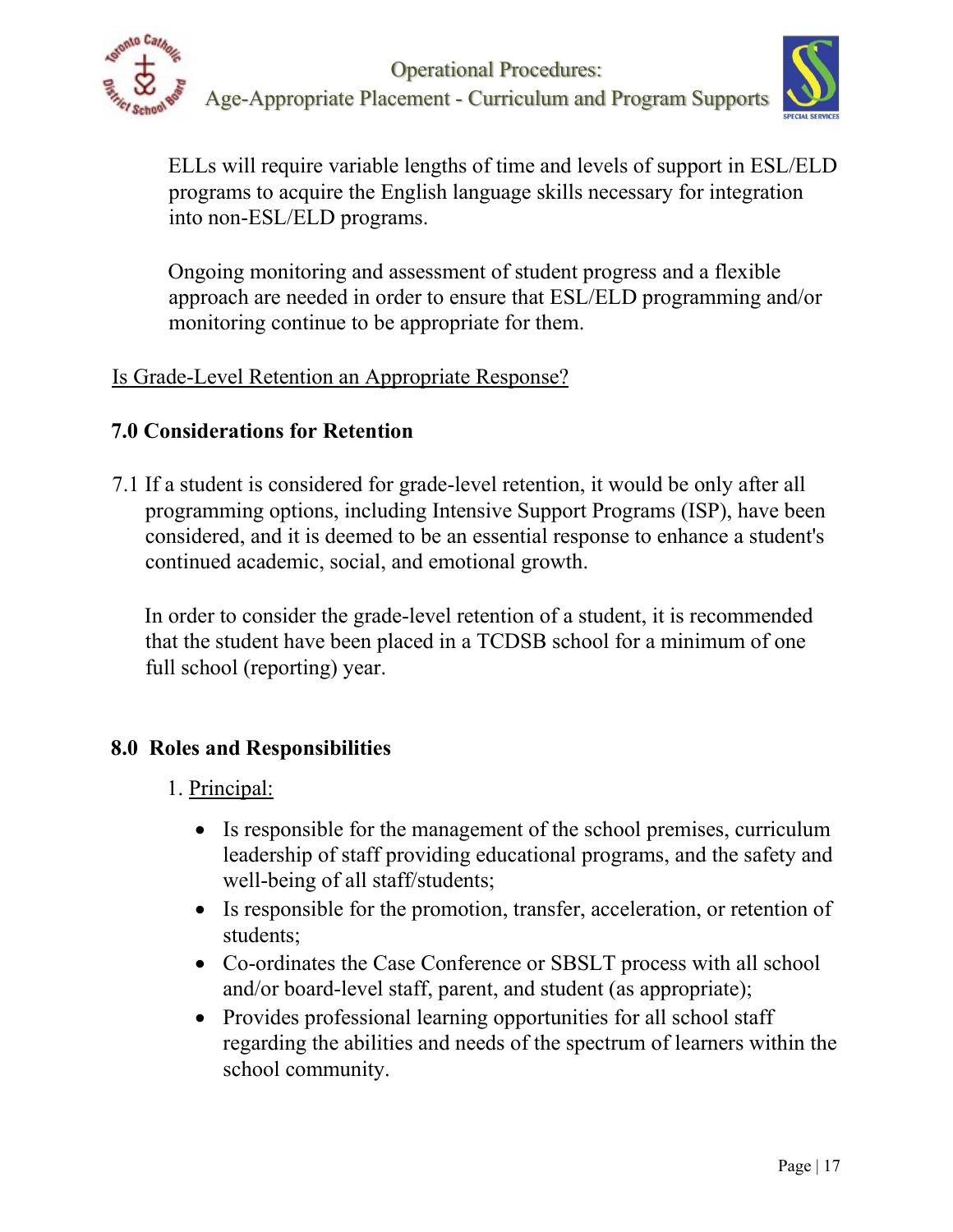

Operational Procedures: Age-Appropriate Placement - Curriculum and Program Supports



ELLs will require variable lengths of time and levels of support in ESL/ELD programs to acquire the English language skills necessary for integration into non-ESL/ELD programs.

Ongoing monitoring and assessment of student progress and a flexible approach are needed in order to ensure that ESL/ELD programming and/or monitoring continue to be appropriate for them.

## Is Grade-Level Retention an Appropriate Response?

# **7.0 Considerations for Retention**

7.1 If a student is considered for grade-level retention, it would be only after all programming options, including Intensive Support Programs (ISP), have been considered, and it is deemed to be an essential response to enhance a student's continued academic, social, and emotional growth.

 In order to consider the grade-level retention of a student, it is recommended that the student have been placed in a TCDSB school for a minimum of one full school (reporting) year.

# **8.0 Roles and Responsibilities**

# 1. Principal:

- Is responsible for the management of the school premises, curriculum leadership of staff providing educational programs, and the safety and well-being of all staff/students;
- Is responsible for the promotion, transfer, acceleration, or retention of students;
- Co-ordinates the Case Conference or SBSLT process with all school and/or board-level staff, parent, and student (as appropriate);
- Provides professional learning opportunities for all school staff regarding the abilities and needs of the spectrum of learners within the school community.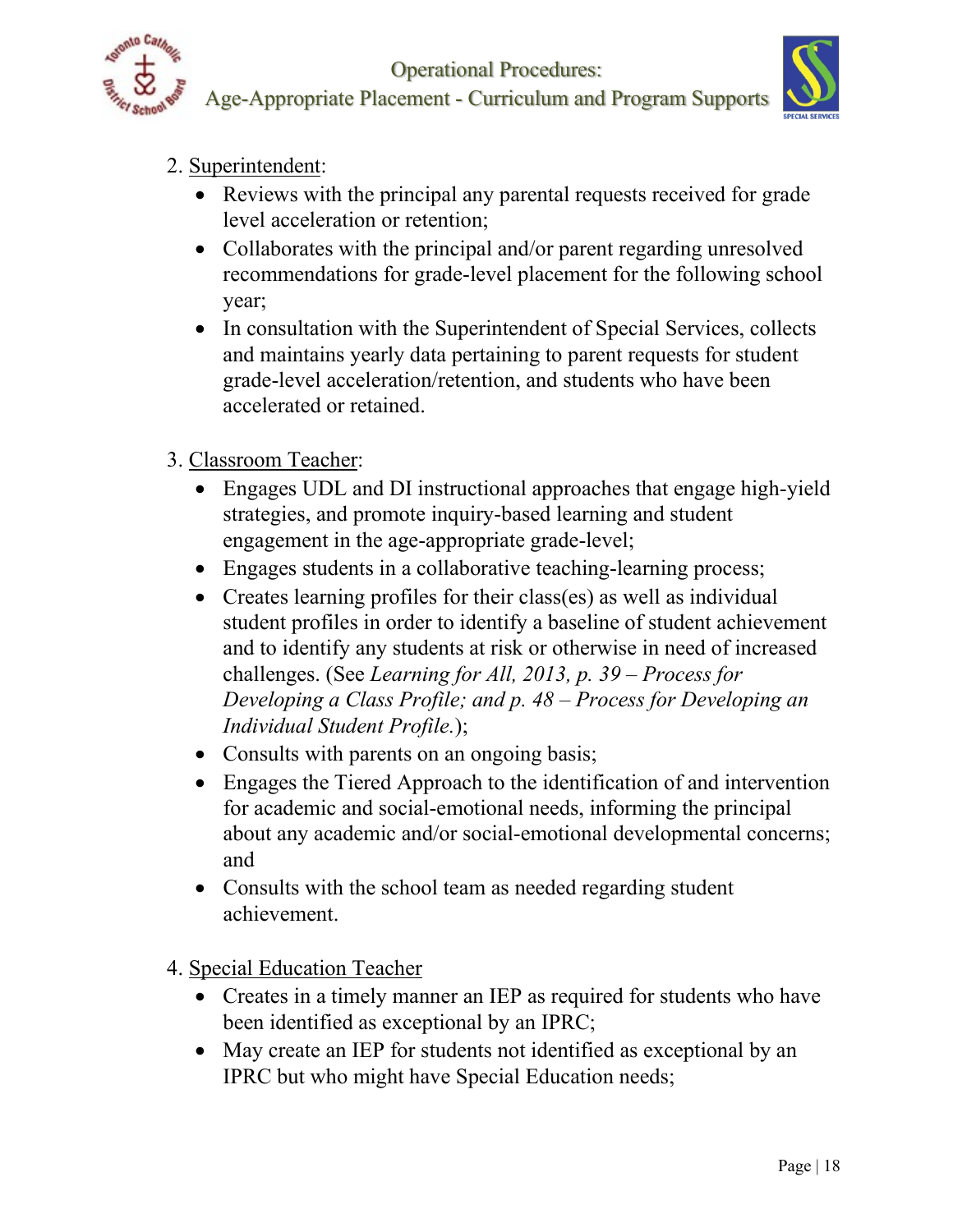

Operational Procedures:



Age-Appropriate Placement - Curriculum and Program Supports

# 2. Superintendent:

- Reviews with the principal any parental requests received for grade level acceleration or retention;
- Collaborates with the principal and/or parent regarding unresolved recommendations for grade-level placement for the following school year;
- In consultation with the Superintendent of Special Services, collects and maintains yearly data pertaining to parent requests for student grade-level acceleration/retention, and students who have been accelerated or retained.

# 3. Classroom Teacher:

- Engages UDL and DI instructional approaches that engage high-yield strategies, and promote inquiry-based learning and student engagement in the age-appropriate grade-level;
- Engages students in a collaborative teaching-learning process;
- Creates learning profiles for their class(es) as well as individual student profiles in order to identify a baseline of student achievement and to identify any students at risk or otherwise in need of increased challenges. (See *Learning for All, 2013, p. 39 – Process for Developing a Class Profile; and p. 48 – Process for Developing an Individual Student Profile.*);
- Consults with parents on an ongoing basis;
- Engages the Tiered Approach to the identification of and intervention for academic and social-emotional needs, informing the principal about any academic and/or social-emotional developmental concerns; and
- Consults with the school team as needed regarding student achievement.
- 4. Special Education Teacher
	- Creates in a timely manner an IEP as required for students who have been identified as exceptional by an IPRC;
	- May create an IEP for students not identified as exceptional by an IPRC but who might have Special Education needs;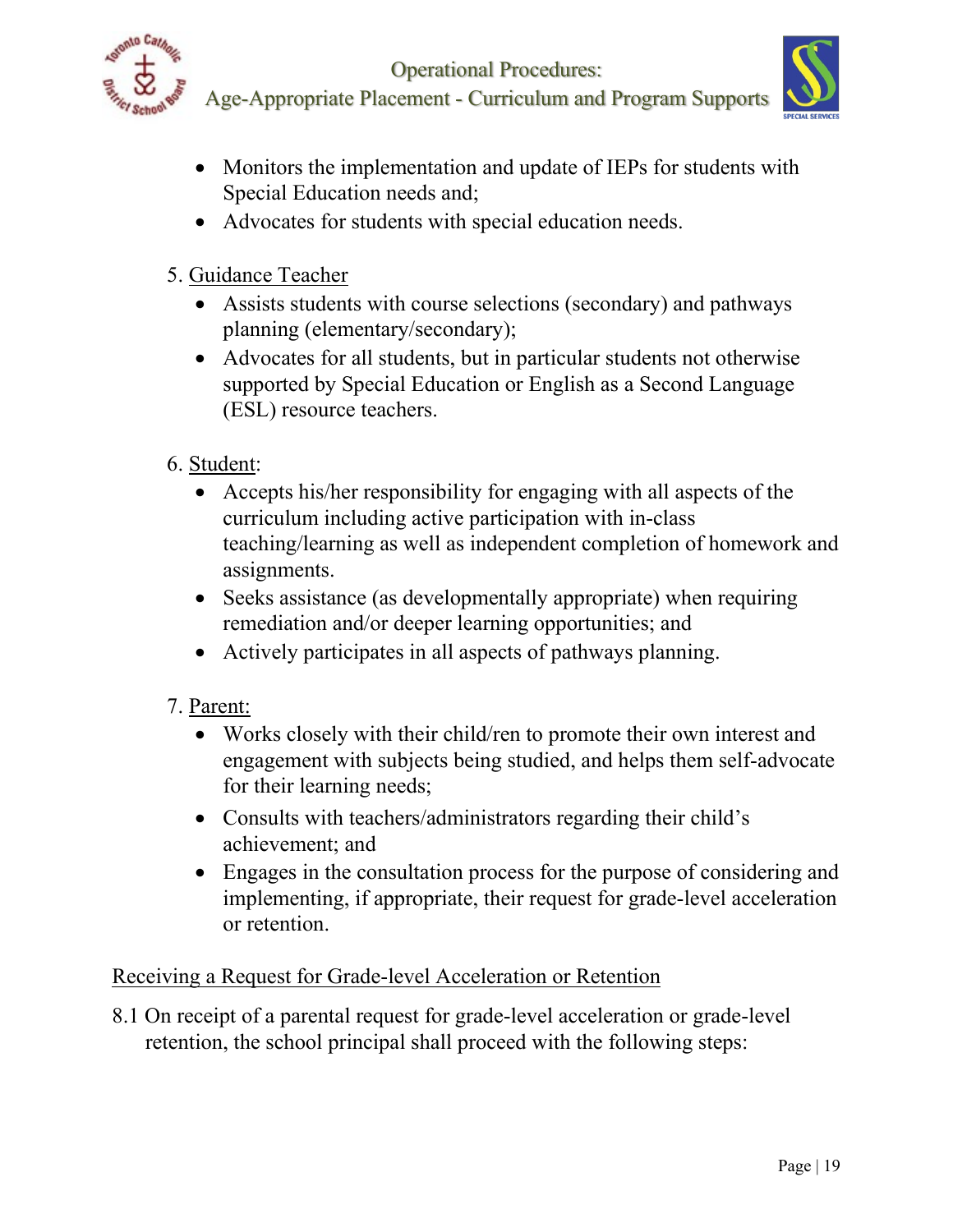

Age-Appropriate Placement - Curriculum and Program Supports



- Monitors the implementation and update of IEPs for students with Special Education needs and;
- Advocates for students with special education needs.
- 5. Guidance Teacher
	- Assists students with course selections (secondary) and pathways planning (elementary/secondary);
	- Advocates for all students, but in particular students not otherwise supported by Special Education or English as a Second Language (ESL) resource teachers.
- 6. Student:
	- Accepts his/her responsibility for engaging with all aspects of the curriculum including active participation with in-class teaching/learning as well as independent completion of homework and assignments.
	- Seeks assistance (as developmentally appropriate) when requiring remediation and/or deeper learning opportunities; and
	- Actively participates in all aspects of pathways planning.
- 7. Parent:
	- Works closely with their child/ren to promote their own interest and engagement with subjects being studied, and helps them self-advocate for their learning needs;
	- Consults with teachers/administrators regarding their child's achievement; and
	- Engages in the consultation process for the purpose of considering and implementing, if appropriate, their request for grade-level acceleration or retention.

# Receiving a Request for Grade-level Acceleration or Retention

8.1 On receipt of a parental request for grade-level acceleration or grade-level retention, the school principal shall proceed with the following steps: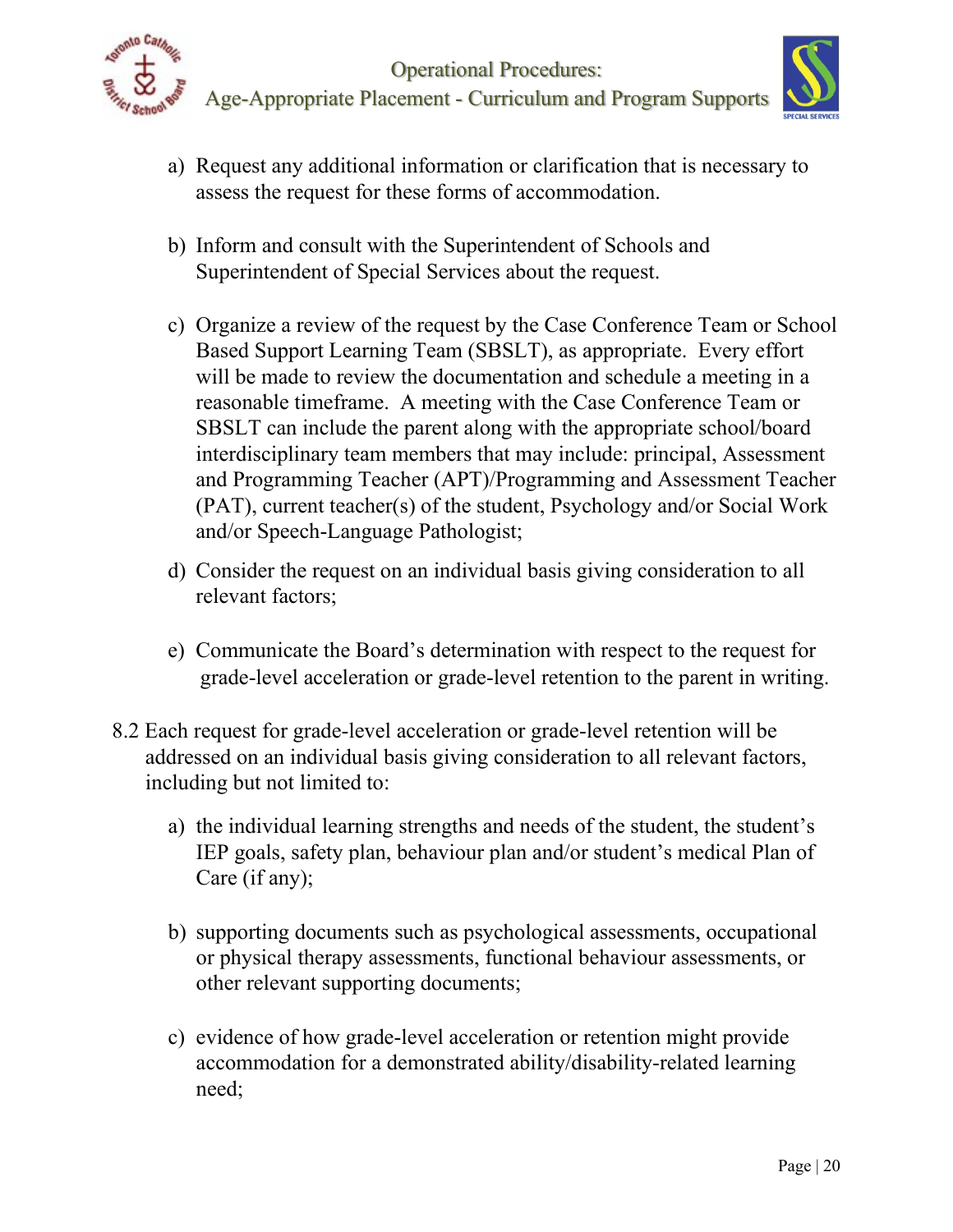



- a) Request any additional information or clarification that is necessary to assess the request for these forms of accommodation.
- b) Inform and consult with the Superintendent of Schools and Superintendent of Special Services about the request.
- c) Organize a review of the request by the Case Conference Team or School Based Support Learning Team (SBSLT), as appropriate. Every effort will be made to review the documentation and schedule a meeting in a reasonable timeframe. A meeting with the Case Conference Team or SBSLT can include the parent along with the appropriate school/board interdisciplinary team members that may include: principal, Assessment and Programming Teacher (APT)/Programming and Assessment Teacher (PAT), current teacher(s) of the student, Psychology and/or Social Work and/or Speech-Language Pathologist;
- d) Consider the request on an individual basis giving consideration to all relevant factors;
- e) Communicate the Board's determination with respect to the request for grade-level acceleration or grade-level retention to the parent in writing.
- 8.2 Each request for grade-level acceleration or grade-level retention will be addressed on an individual basis giving consideration to all relevant factors, including but not limited to:
	- a) the individual learning strengths and needs of the student, the student's IEP goals, safety plan, behaviour plan and/or student's medical Plan of Care (if any);
	- b) supporting documents such as psychological assessments, occupational or physical therapy assessments, functional behaviour assessments, or other relevant supporting documents;
	- c) evidence of how grade-level acceleration or retention might provide accommodation for a demonstrated ability/disability-related learning need;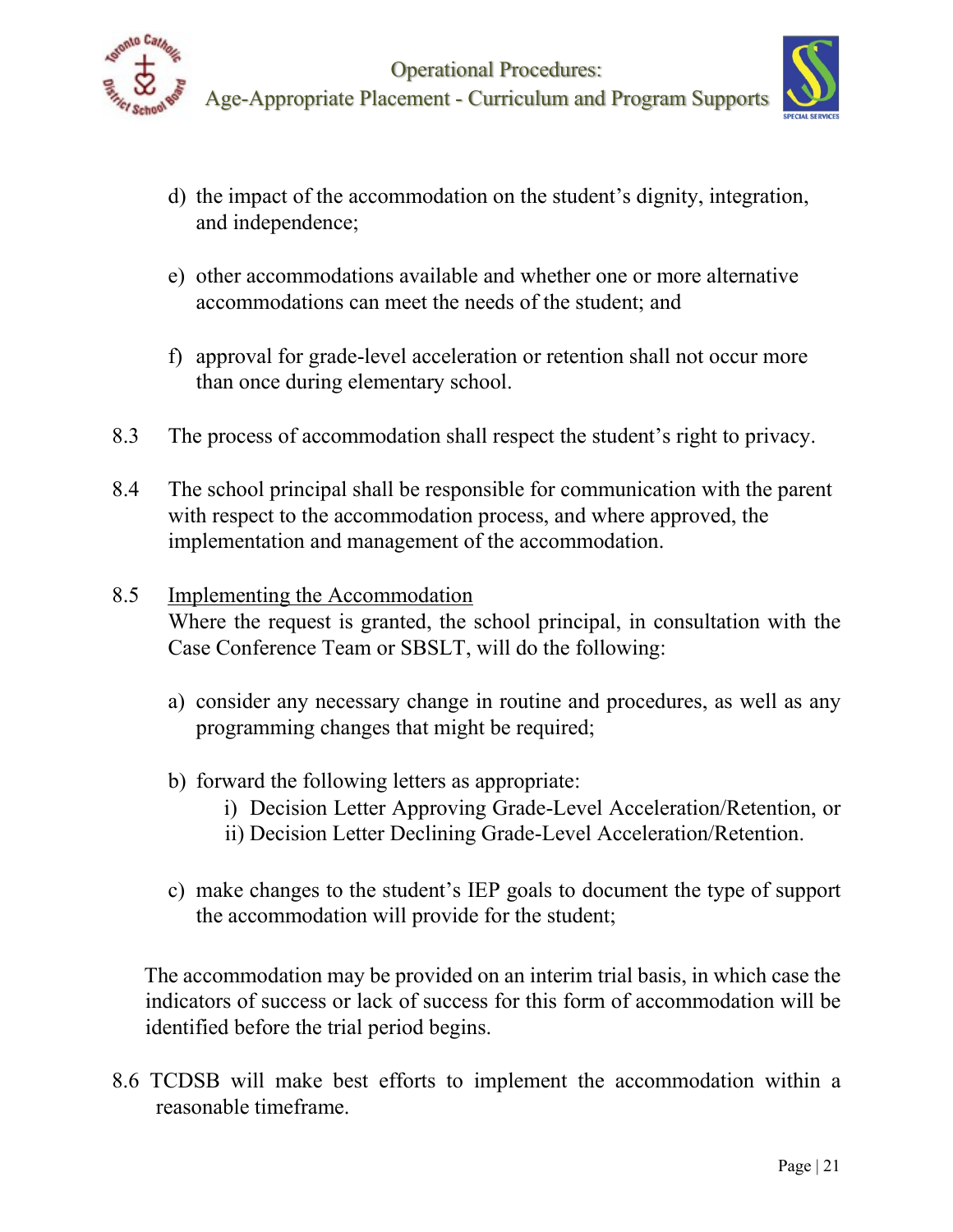



- d) the impact of the accommodation on the student's dignity, integration, and independence;
- e) other accommodations available and whether one or more alternative accommodations can meet the needs of the student; and
- f) approval for grade-level acceleration or retention shall not occur more than once during elementary school.
- 8.3 The process of accommodation shall respect the student's right to privacy.
- 8.4 The school principal shall be responsible for communication with the parent with respect to the accommodation process, and where approved, the implementation and management of the accommodation.

## 8.5 Implementing the Accommodation

Where the request is granted, the school principal, in consultation with the Case Conference Team or SBSLT, will do the following:

- a) consider any necessary change in routine and procedures, as well as any programming changes that might be required;
- b) forward the following letters as appropriate:
	- i) Decision Letter Approving Grade-Level Acceleration/Retention, or
	- ii) Decision Letter Declining Grade-Level Acceleration/Retention.
- c) make changes to the student's IEP goals to document the type of support the accommodation will provide for the student;

The accommodation may be provided on an interim trial basis, in which case the indicators of success or lack of success for this form of accommodation will be identified before the trial period begins.

8.6 TCDSB will make best efforts to implement the accommodation within a reasonable timeframe.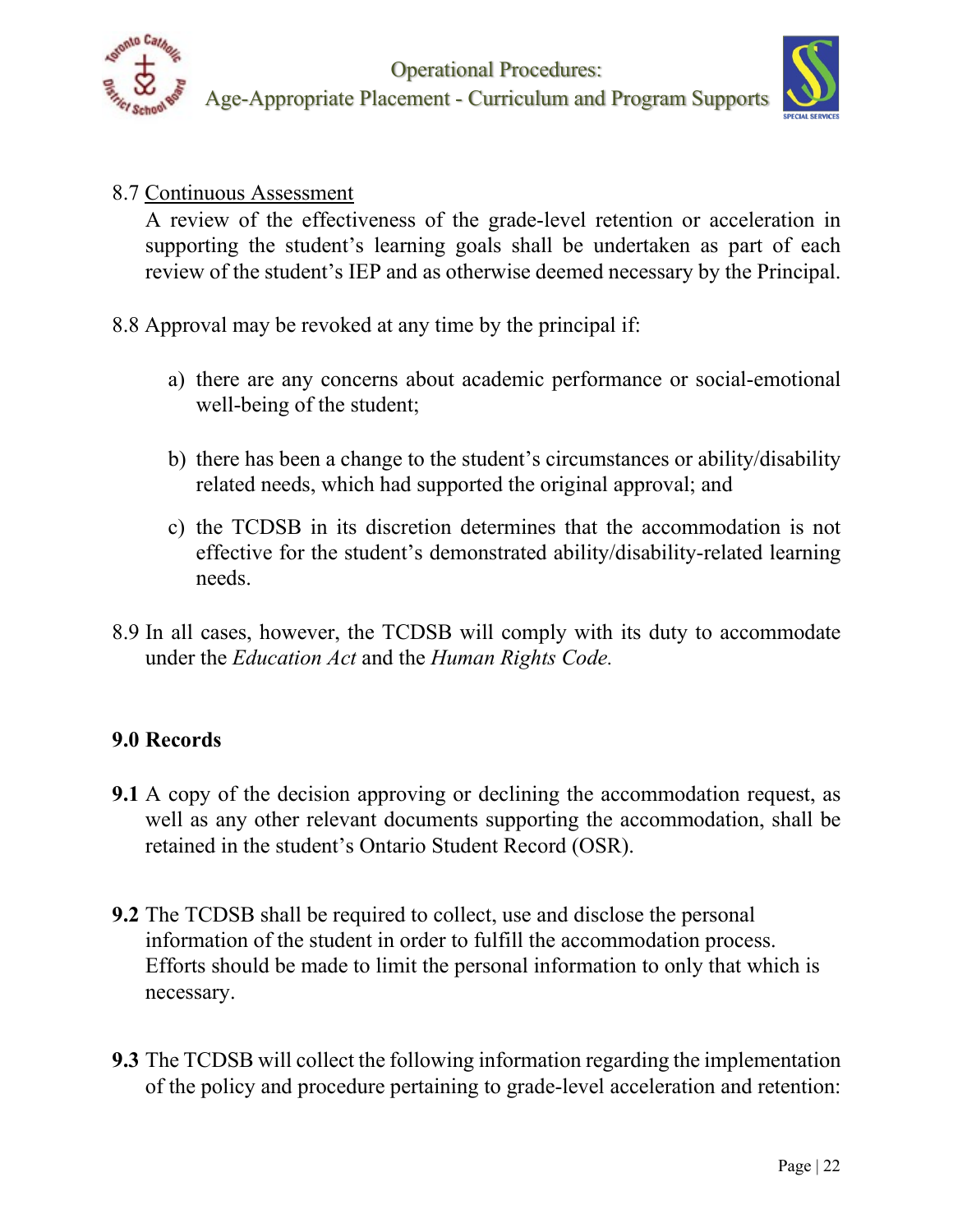



## 8.7 Continuous Assessment

A review of the effectiveness of the grade-level retention or acceleration in supporting the student's learning goals shall be undertaken as part of each review of the student's IEP and as otherwise deemed necessary by the Principal.

- 8.8 Approval may be revoked at any time by the principal if:
	- a) there are any concerns about academic performance or social-emotional well-being of the student;
	- b) there has been a change to the student's circumstances or ability/disability related needs, which had supported the original approval; and
	- c) the TCDSB in its discretion determines that the accommodation is not effective for the student's demonstrated ability/disability-related learning needs.
- 8.9 In all cases, however, the TCDSB will comply with its duty to accommodate under the *Education Act* and the *Human Rights Code.*

## **9.0 Records**

- **9.1** A copy of the decision approving or declining the accommodation request, as well as any other relevant documents supporting the accommodation, shall be retained in the student's Ontario Student Record (OSR).
- **9.2** The TCDSB shall be required to collect, use and disclose the personal information of the student in order to fulfill the accommodation process. Efforts should be made to limit the personal information to only that which is necessary.
- **9.3** The TCDSB will collect the following information regarding the implementation of the policy and procedure pertaining to grade-level acceleration and retention: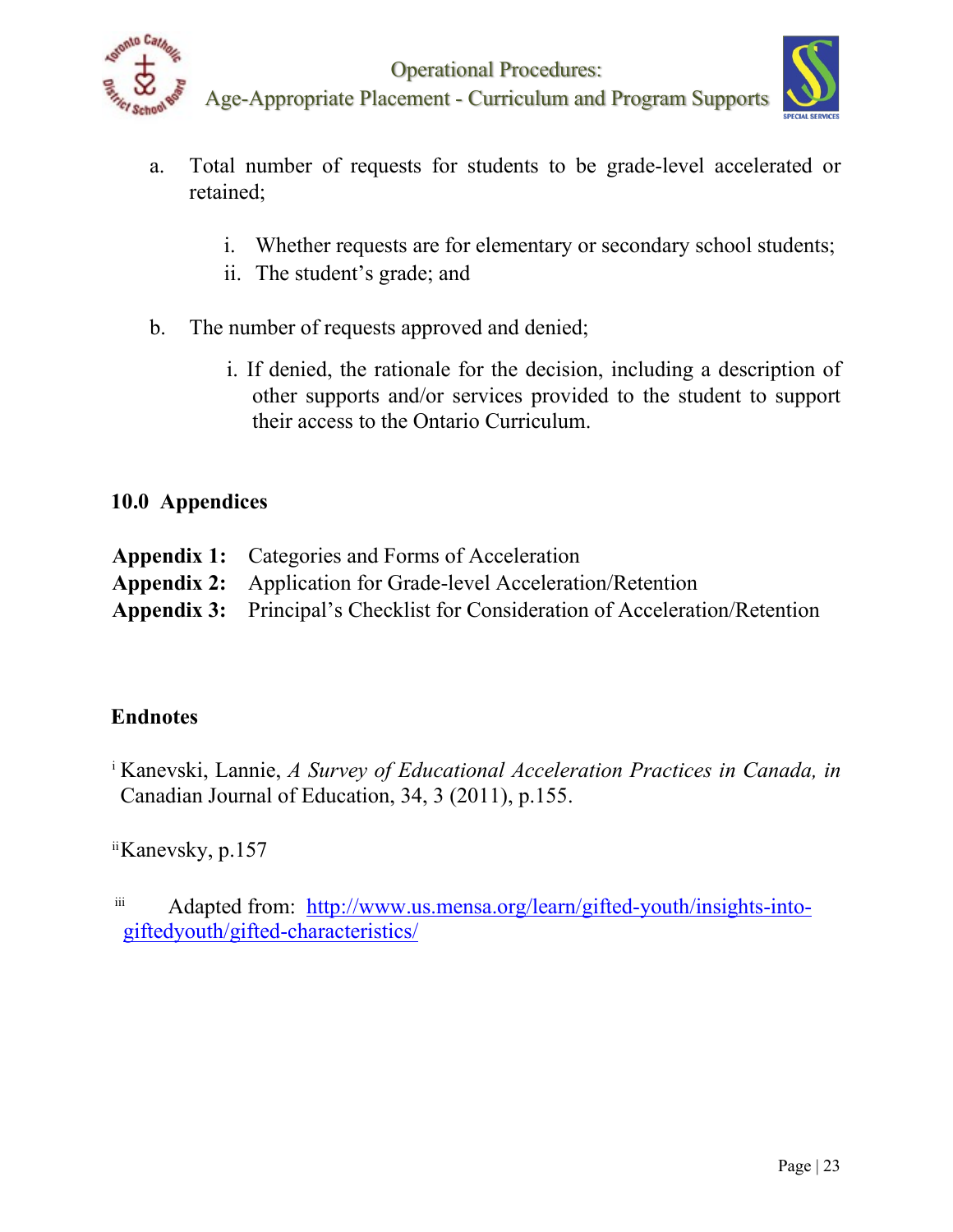

- 
- a. Total number of requests for students to be grade-level accelerated or retained;
	- i. Whether requests are for elementary or secondary school students;
	- ii. The student's grade; and
- b. The number of requests approved and denied;
	- i. If denied, the rationale for the decision, including a description of other supports and/or services provided to the student to support their access to the Ontario Curriculum.

# **10.0 Appendices**

| <b>Appendix 1:</b> Categories and Forms of Acceleration                              |
|--------------------------------------------------------------------------------------|
| <b>Appendix 2:</b> Application for Grade-level Acceleration/Retention                |
| <b>Appendix 3:</b> Principal's Checklist for Consideration of Acceleration/Retention |

# **Endnotes**

<sup>i</sup> Kanevski, Lannie, *A Survey of Educational Acceleration Practices in Canada, in*  Canadian Journal of Education, 34, 3 (2011), p.155.

iiKanevsky, p.157

iii Adapted from: [http://www.us.mensa.org/learn/gifted-youth/insights-into](http://www.us.mensa.org/learn/gifted-youth/insights-into-gifted-youth/gifted-characteristics/)[giftedyouth/gifted-characteristics/](http://www.us.mensa.org/learn/gifted-youth/insights-into-gifted-youth/gifted-characteristics/)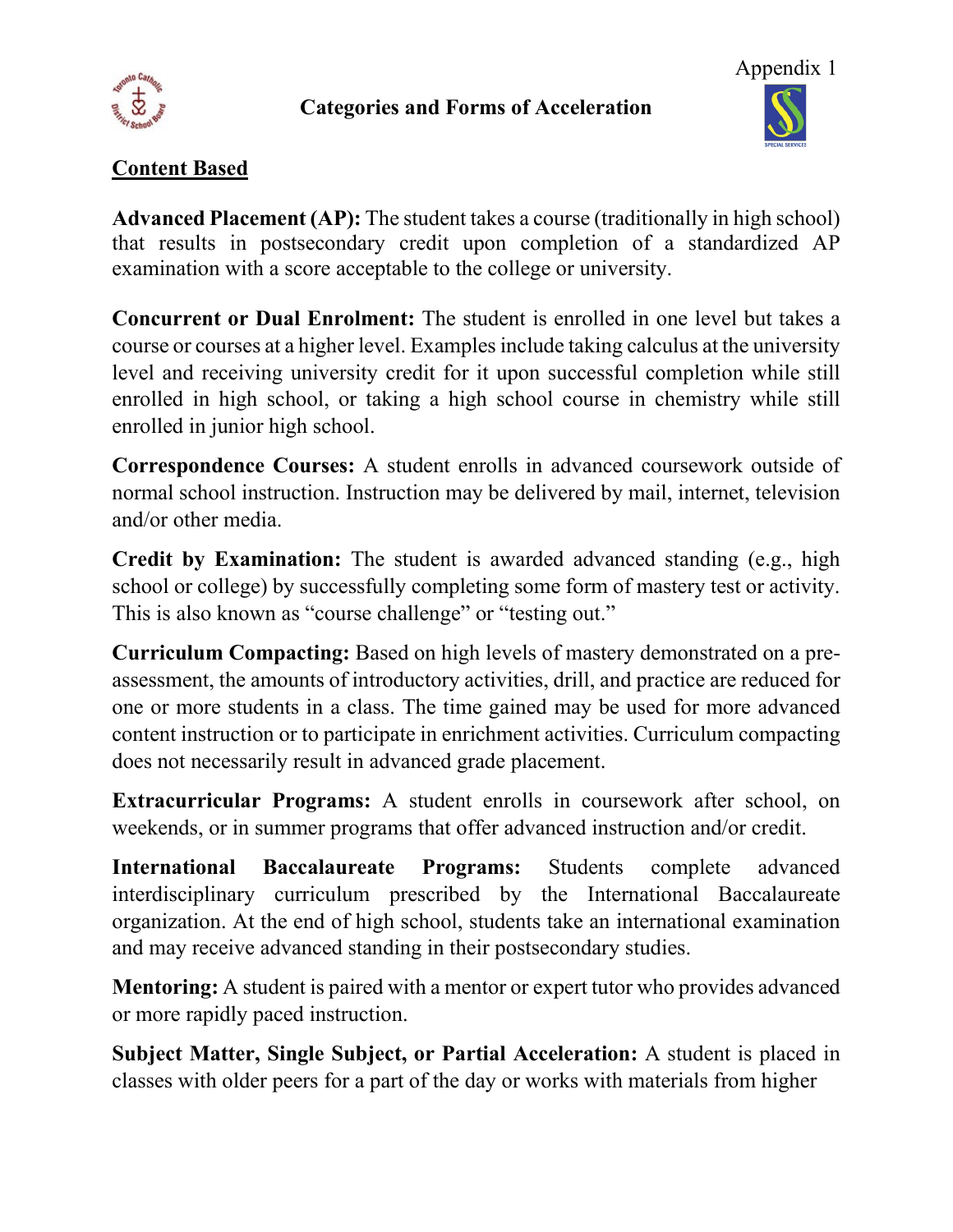

### **Categories and Forms of Acceleration**



## **Content Based**

**Advanced Placement (AP):** The student takes a course (traditionally in high school) that results in postsecondary credit upon completion of a standardized AP examination with a score acceptable to the college or university.

**Concurrent or Dual Enrolment:** The student is enrolled in one level but takes a course or courses at a higher level. Examples include taking calculus at the university level and receiving university credit for it upon successful completion while still enrolled in high school, or taking a high school course in chemistry while still enrolled in junior high school.

**Correspondence Courses:** A student enrolls in advanced coursework outside of normal school instruction. Instruction may be delivered by mail, internet, television and/or other media.

**Credit by Examination:** The student is awarded advanced standing (e.g., high school or college) by successfully completing some form of mastery test or activity. This is also known as "course challenge" or "testing out."

**Curriculum Compacting:** Based on high levels of mastery demonstrated on a preassessment, the amounts of introductory activities, drill, and practice are reduced for one or more students in a class. The time gained may be used for more advanced content instruction or to participate in enrichment activities. Curriculum compacting does not necessarily result in advanced grade placement.

**Extracurricular Programs:** A student enrolls in coursework after school, on weekends, or in summer programs that offer advanced instruction and/or credit.

**International Baccalaureate Programs:** Students complete advanced interdisciplinary curriculum prescribed by the International Baccalaureate organization. At the end of high school, students take an international examination and may receive advanced standing in their postsecondary studies.

**Mentoring:** A student is paired with a mentor or expert tutor who provides advanced or more rapidly paced instruction.

**Subject Matter, Single Subject, or Partial Acceleration:** A student is placed in classes with older peers for a part of the day or works with materials from higher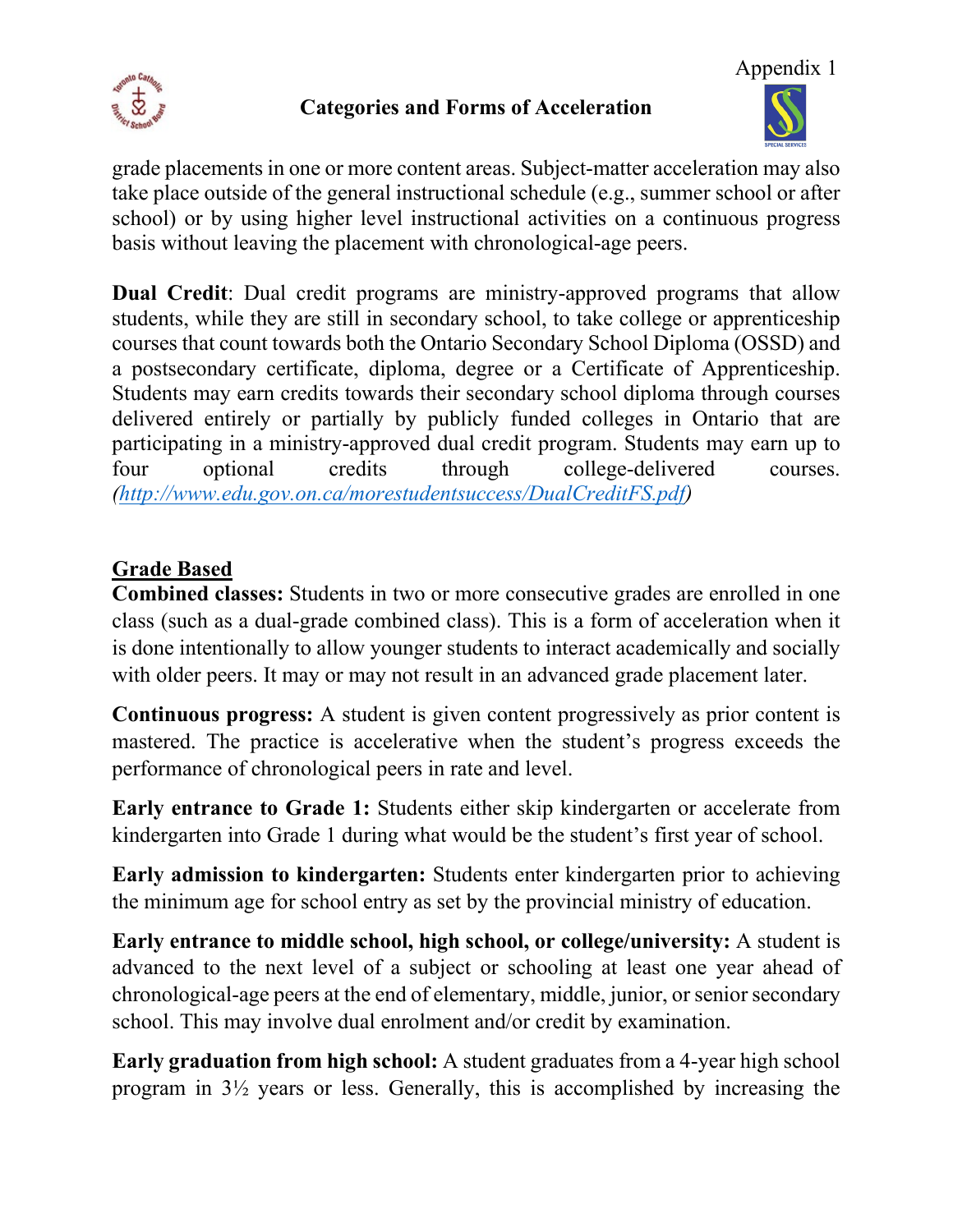

## **Categories and Forms of Acceleration**



grade placements in one or more content areas. Subject-matter acceleration may also take place outside of the general instructional schedule (e.g., summer school or after school) or by using higher level instructional activities on a continuous progress basis without leaving the placement with chronological-age peers.

**Dual Credit**: Dual credit programs are ministry-approved programs that allow students, while they are still in secondary school, to take college or apprenticeship courses that count towards both the Ontario Secondary School Diploma (OSSD) and a postsecondary certificate, diploma, degree or a Certificate of Apprenticeship. Students may earn credits towards their secondary school diploma through courses delivered entirely or partially by publicly funded colleges in Ontario that are participating in a ministry-approved dual credit program. Students may earn up to four optional credits through college-delivered courses. *[\(http://www.edu.gov.on.ca/morestudentsuccess/DualCreditFS.pdf\)](http://www.edu.gov.on.ca/morestudentsuccess/DualCreditFS.pdf)*

# **Grade Based**

**Combined classes:** Students in two or more consecutive grades are enrolled in one class (such as a dual-grade combined class). This is a form of acceleration when it is done intentionally to allow younger students to interact academically and socially with older peers. It may or may not result in an advanced grade placement later.

**Continuous progress:** A student is given content progressively as prior content is mastered. The practice is accelerative when the student's progress exceeds the performance of chronological peers in rate and level.

**Early entrance to Grade 1:** Students either skip kindergarten or accelerate from kindergarten into Grade 1 during what would be the student's first year of school.

**Early admission to kindergarten:** Students enter kindergarten prior to achieving the minimum age for school entry as set by the provincial ministry of education.

**Early entrance to middle school, high school, or college/university:** A student is advanced to the next level of a subject or schooling at least one year ahead of chronological-age peers at the end of elementary, middle, junior, or senior secondary school. This may involve dual enrolment and/or credit by examination.

**Early graduation from high school:** A student graduates from a 4-year high school program in 3½ years or less. Generally, this is accomplished by increasing the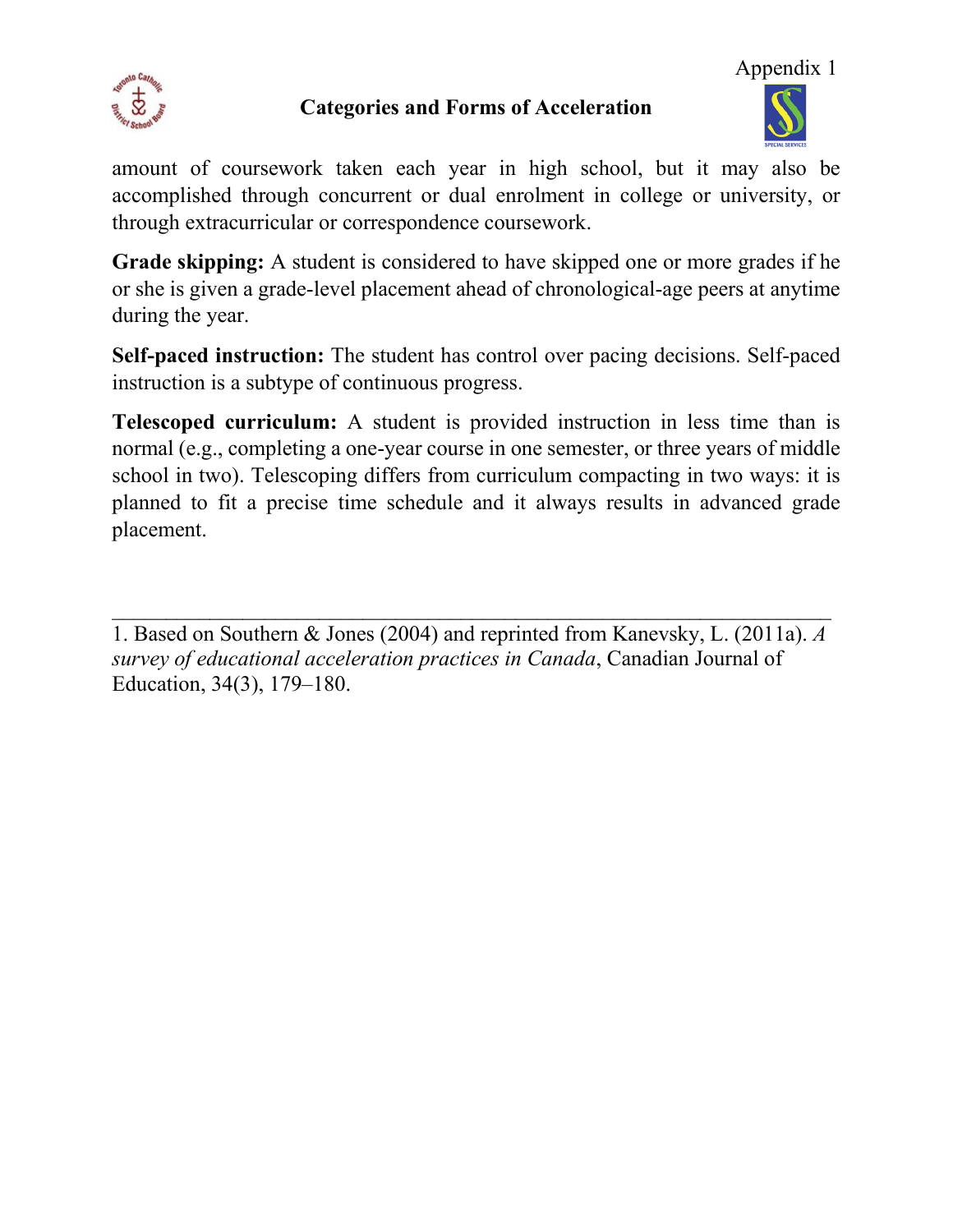

## **Categories and Forms of Acceleration**



amount of coursework taken each year in high school, but it may also be accomplished through concurrent or dual enrolment in college or university, or through extracurricular or correspondence coursework.

**Grade skipping:** A student is considered to have skipped one or more grades if he or she is given a grade-level placement ahead of chronological-age peers at anytime during the year.

**Self-paced instruction:** The student has control over pacing decisions. Self-paced instruction is a subtype of continuous progress.

**Telescoped curriculum:** A student is provided instruction in less time than is normal (e.g., completing a one-year course in one semester, or three years of middle school in two). Telescoping differs from curriculum compacting in two ways: it is planned to fit a precise time schedule and it always results in advanced grade placement.

 $\_$  , and the set of the set of the set of the set of the set of the set of the set of the set of the set of the set of the set of the set of the set of the set of the set of the set of the set of the set of the set of th 1. Based on Southern & Jones (2004) and reprinted from Kanevsky, L. (2011a). *A survey of educational acceleration practices in Canada*, Canadian Journal of Education, 34(3), 179–180.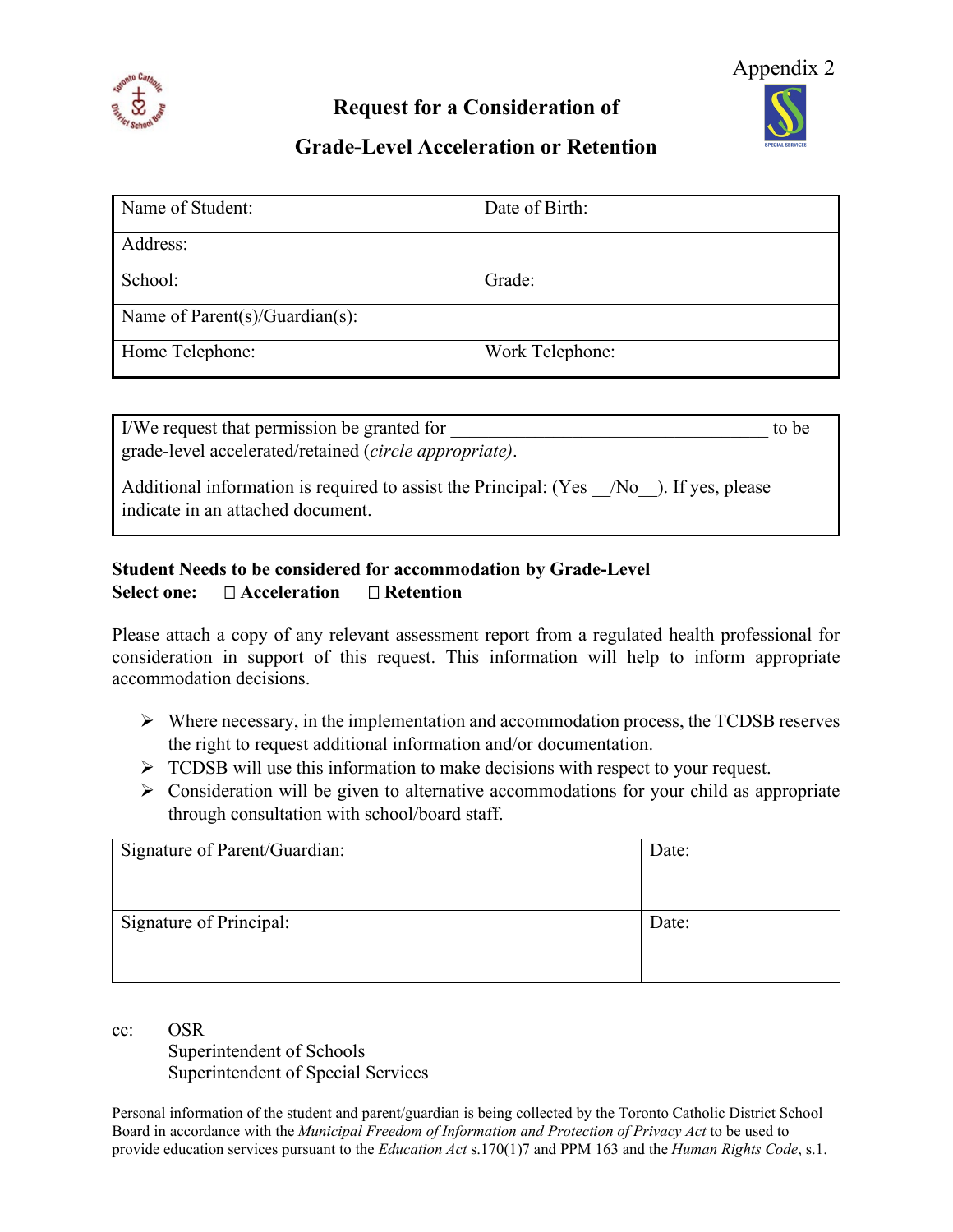

**Request for a Consideration of** 



### **Grade-Level Acceleration or Retention**

| Name of Student:                  | Date of Birth:  |  |
|-----------------------------------|-----------------|--|
| Address:                          |                 |  |
| School:                           | Grade:          |  |
| Name of $Parent(s)/Guardian(s)$ : |                 |  |
| Home Telephone:                   | Work Telephone: |  |

| I/We request that permission be granted for                                                                                 | to be |
|-----------------------------------------------------------------------------------------------------------------------------|-------|
| grade-level accelerated/retained (circle appropriate).                                                                      |       |
| Additional information is required to assist the Principal: (Yes /No ). If yes, please<br>indicate in an attached document. |       |

### **Student Needs to be considered for accommodation by Grade-Level Select one: Acceleration Retention**

Please attach a copy of any relevant assessment report from a regulated health professional for consideration in support of this request. This information will help to inform appropriate accommodation decisions.

- $\triangleright$  Where necessary, in the implementation and accommodation process, the TCDSB reserves the right to request additional information and/or documentation.
- TCDSB will use this information to make decisions with respect to your request.
- $\triangleright$  Consideration will be given to alternative accommodations for your child as appropriate through consultation with school/board staff.

| Signature of Parent/Guardian: | Date: |
|-------------------------------|-------|
| Signature of Principal:       | Date: |

cc: OSR

Superintendent of Schools Superintendent of Special Services

Personal information of the student and parent/guardian is being collected by the Toronto Catholic District School Board in accordance with the *Municipal Freedom of Information and Protection of Privacy Act* to be used to provide education services pursuant to the *Education Act* s.170(1)7 and PPM 163 and the *Human Rights Code*, s.1.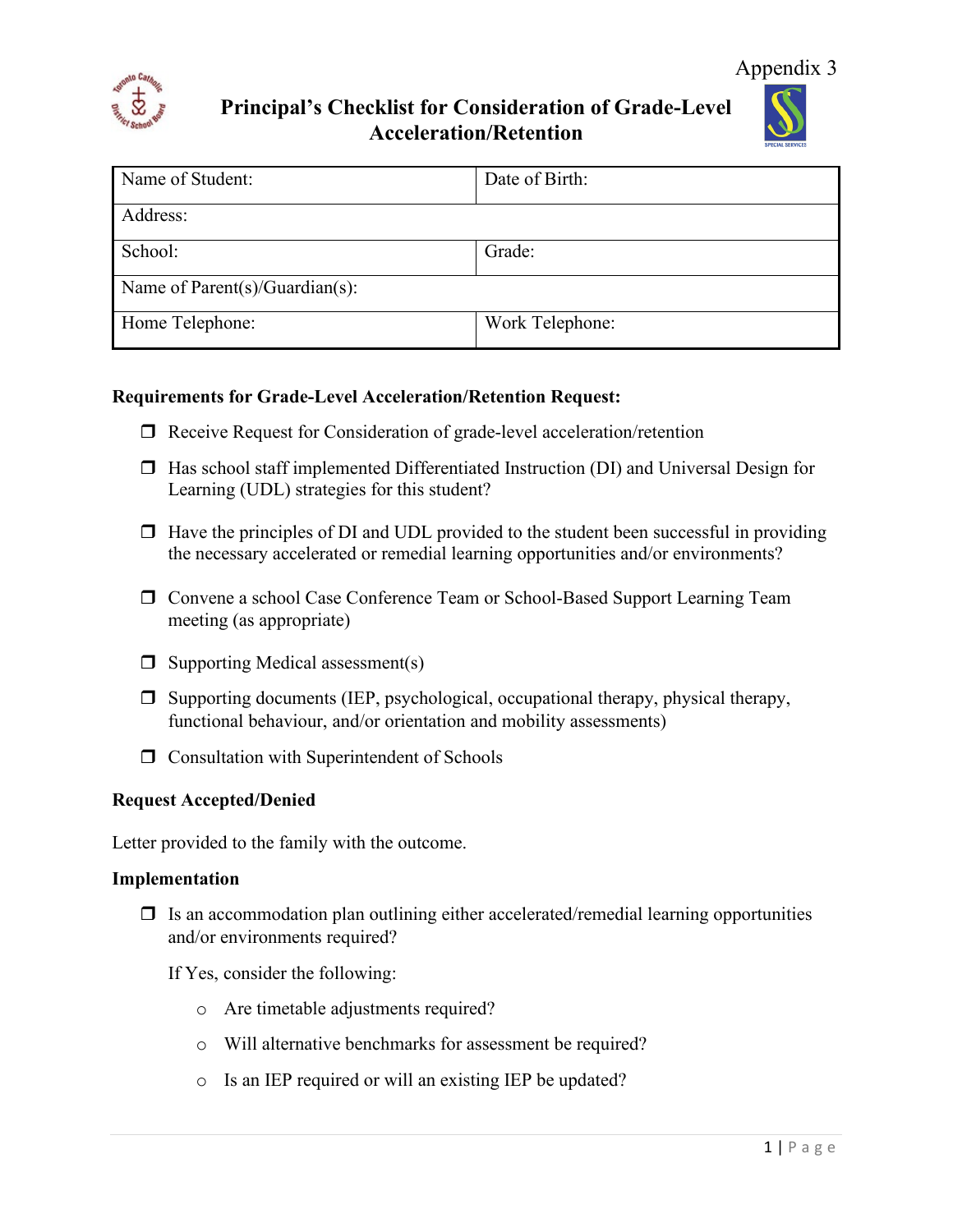

**Principal's Checklist for Consideration of Grade-Level Acceleration/Retention**



| Name of Student:                       | Date of Birth:  |  |  |
|----------------------------------------|-----------------|--|--|
| Address:                               |                 |  |  |
| School:                                | Grade:          |  |  |
| Name of Parent $(s)/$ Guardian $(s)$ : |                 |  |  |
| Home Telephone:                        | Work Telephone: |  |  |

#### **Requirements for Grade-Level Acceleration/Retention Request:**

- □ Receive Request for Consideration of grade-level acceleration/retention
- $\Box$  Has school staff implemented Differentiated Instruction (DI) and Universal Design for Learning (UDL) strategies for this student?
- $\Box$  Have the principles of DI and UDL provided to the student been successful in providing the necessary accelerated or remedial learning opportunities and/or environments?
- Convene a school Case Conference Team or School-Based Support Learning Team meeting (as appropriate)
- $\Box$  Supporting Medical assessment(s)
- $\Box$  Supporting documents (IEP, psychological, occupational therapy, physical therapy, functional behaviour, and/or orientation and mobility assessments)
- $\Box$  Consultation with Superintendent of Schools

#### **Request Accepted/Denied**

Letter provided to the family with the outcome.

#### **Implementation**

 $\Box$  Is an accommodation plan outlining either accelerated/remedial learning opportunities and/or environments required?

If Yes, consider the following:

- o Are timetable adjustments required?
- o Will alternative benchmarks for assessment be required?
- o Is an IEP required or will an existing IEP be updated?